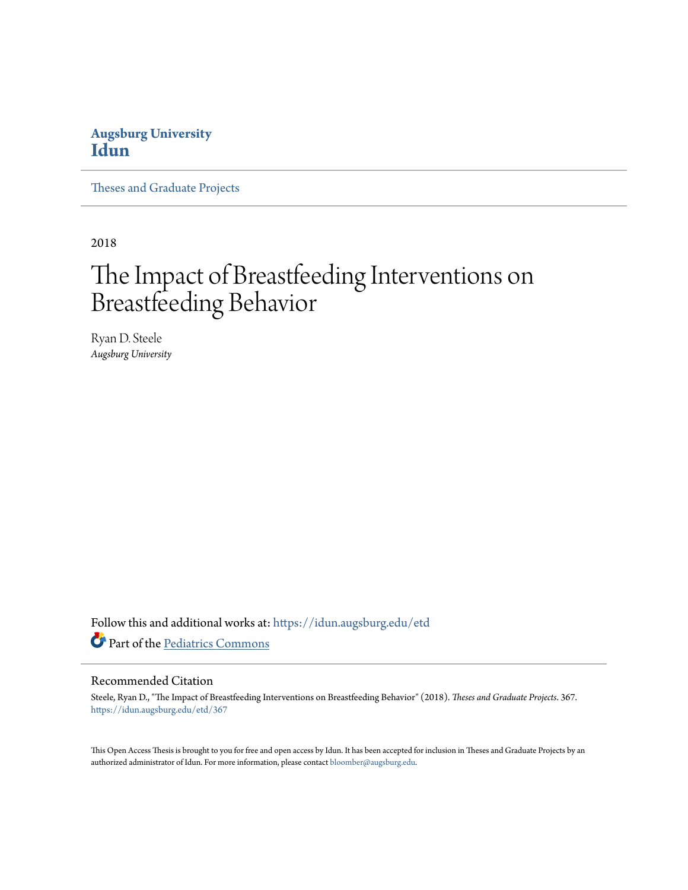## **Augsburg University [Idun](https://idun.augsburg.edu?utm_source=idun.augsburg.edu%2Fetd%2F367&utm_medium=PDF&utm_campaign=PDFCoverPages)**

[Theses and Graduate Projects](https://idun.augsburg.edu/etd?utm_source=idun.augsburg.edu%2Fetd%2F367&utm_medium=PDF&utm_campaign=PDFCoverPages)

2018

# The Impact of Breastfeeding Interventions on Breastfeeding Behavior

Ryan D. Steele *Augsburg University*

Follow this and additional works at: [https://idun.augsburg.edu/etd](https://idun.augsburg.edu/etd?utm_source=idun.augsburg.edu%2Fetd%2F367&utm_medium=PDF&utm_campaign=PDFCoverPages) Part of the [Pediatrics Commons](http://network.bepress.com/hgg/discipline/700?utm_source=idun.augsburg.edu%2Fetd%2F367&utm_medium=PDF&utm_campaign=PDFCoverPages)

#### Recommended Citation

Steele, Ryan D., "The Impact of Breastfeeding Interventions on Breastfeeding Behavior" (2018). *Theses and Graduate Projects*. 367. [https://idun.augsburg.edu/etd/367](https://idun.augsburg.edu/etd/367?utm_source=idun.augsburg.edu%2Fetd%2F367&utm_medium=PDF&utm_campaign=PDFCoverPages)

This Open Access Thesis is brought to you for free and open access by Idun. It has been accepted for inclusion in Theses and Graduate Projects by an authorized administrator of Idun. For more information, please contact [bloomber@augsburg.edu.](mailto:bloomber@augsburg.edu)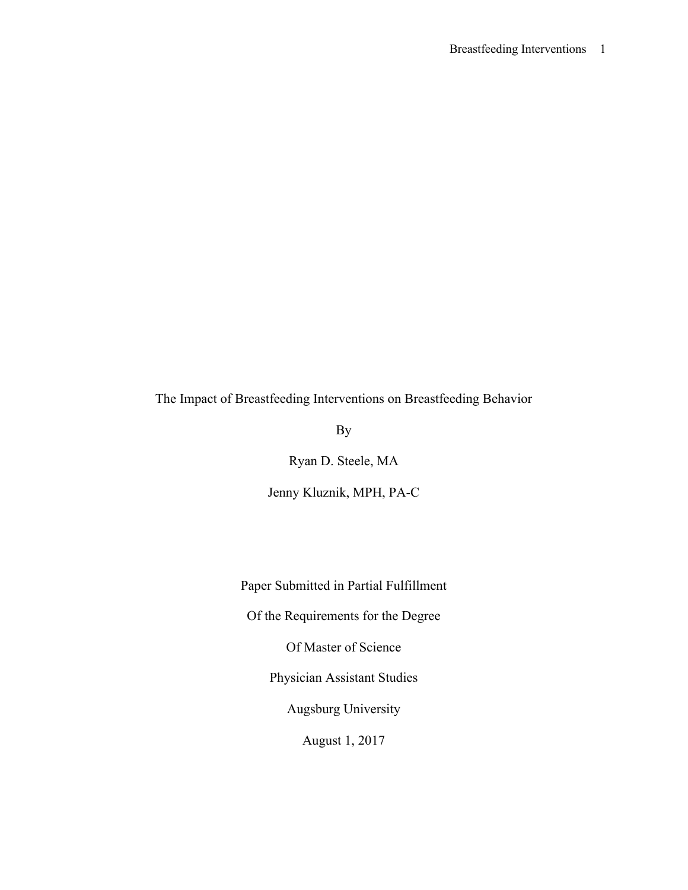The Impact of Breastfeeding Interventions on Breastfeeding Behavior

By

Ryan D. Steele, MA

Jenny Kluznik, MPH, PA-C

Paper Submitted in Partial Fulfillment

Of the Requirements for the Degree

Of Master of Science

Physician Assistant Studies

Augsburg University

August 1, 2017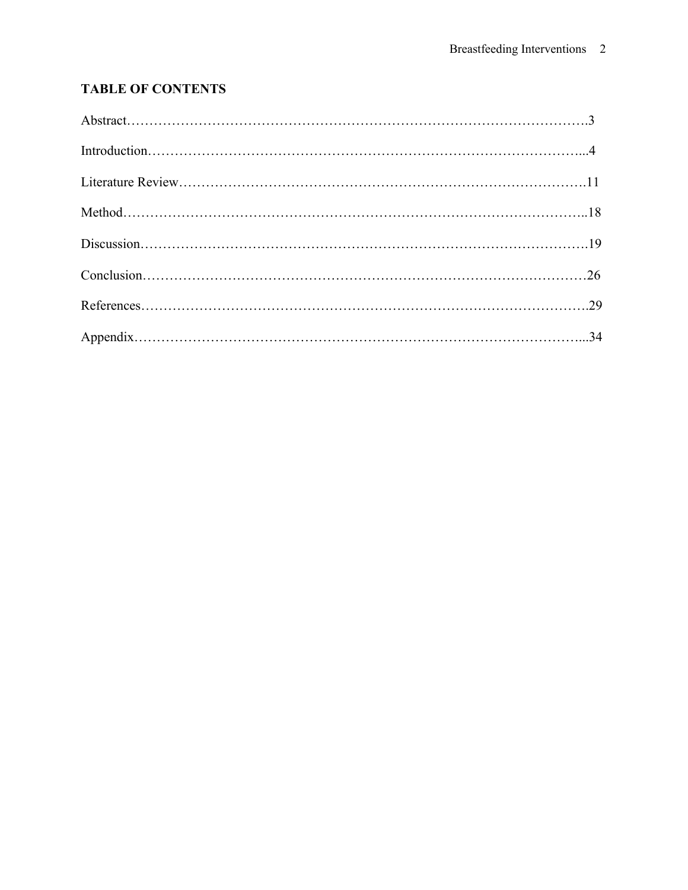## **TABLE OF CONTENTS**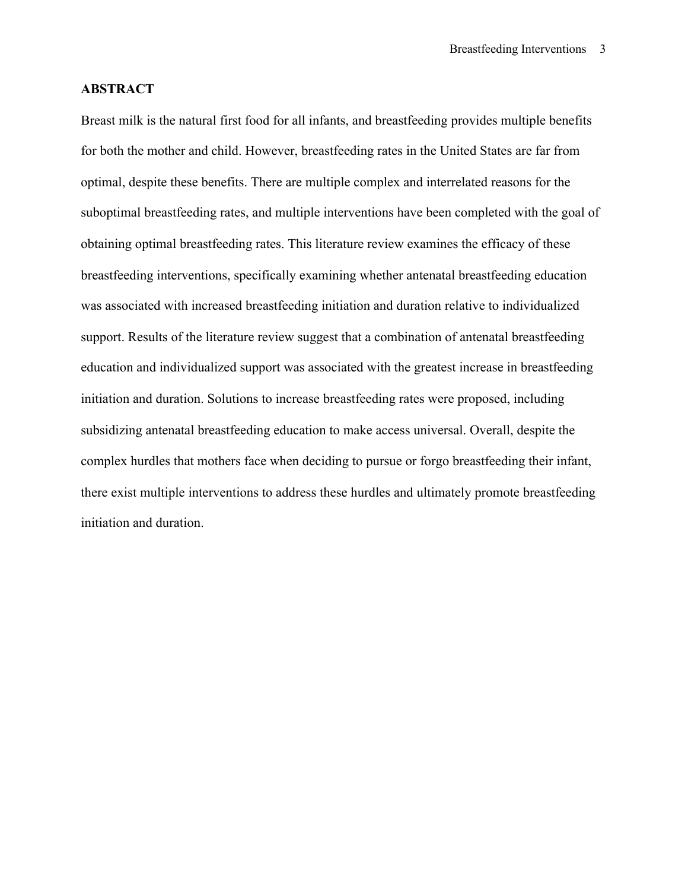#### **ABSTRACT**

Breast milk is the natural first food for all infants, and breastfeeding provides multiple benefits for both the mother and child. However, breastfeeding rates in the United States are far from optimal, despite these benefits. There are multiple complex and interrelated reasons for the suboptimal breastfeeding rates, and multiple interventions have been completed with the goal of obtaining optimal breastfeeding rates. This literature review examines the efficacy of these breastfeeding interventions, specifically examining whether antenatal breastfeeding education was associated with increased breastfeeding initiation and duration relative to individualized support. Results of the literature review suggest that a combination of antenatal breastfeeding education and individualized support was associated with the greatest increase in breastfeeding initiation and duration. Solutions to increase breastfeeding rates were proposed, including subsidizing antenatal breastfeeding education to make access universal. Overall, despite the complex hurdles that mothers face when deciding to pursue or forgo breastfeeding their infant, there exist multiple interventions to address these hurdles and ultimately promote breastfeeding initiation and duration.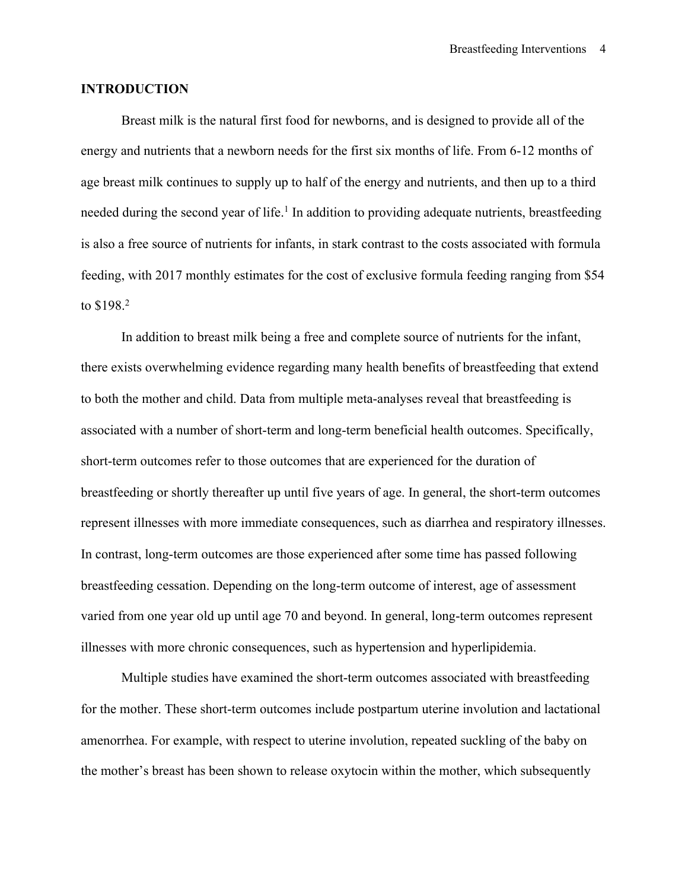#### **INTRODUCTION**

Breast milk is the natural first food for newborns, and is designed to provide all of the energy and nutrients that a newborn needs for the first six months of life. From 6-12 months of age breast milk continues to supply up to half of the energy and nutrients, and then up to a third needed during the second year of life.<sup>1</sup> In addition to providing adequate nutrients, breastfeeding is also a free source of nutrients for infants, in stark contrast to the costs associated with formula feeding, with 2017 monthly estimates for the cost of exclusive formula feeding ranging from \$54 to \$198.2

In addition to breast milk being a free and complete source of nutrients for the infant, there exists overwhelming evidence regarding many health benefits of breastfeeding that extend to both the mother and child. Data from multiple meta-analyses reveal that breastfeeding is associated with a number of short-term and long-term beneficial health outcomes. Specifically, short-term outcomes refer to those outcomes that are experienced for the duration of breastfeeding or shortly thereafter up until five years of age. In general, the short-term outcomes represent illnesses with more immediate consequences, such as diarrhea and respiratory illnesses. In contrast, long-term outcomes are those experienced after some time has passed following breastfeeding cessation. Depending on the long-term outcome of interest, age of assessment varied from one year old up until age 70 and beyond. In general, long-term outcomes represent illnesses with more chronic consequences, such as hypertension and hyperlipidemia.

Multiple studies have examined the short-term outcomes associated with breastfeeding for the mother. These short-term outcomes include postpartum uterine involution and lactational amenorrhea. For example, with respect to uterine involution, repeated suckling of the baby on the mother's breast has been shown to release oxytocin within the mother, which subsequently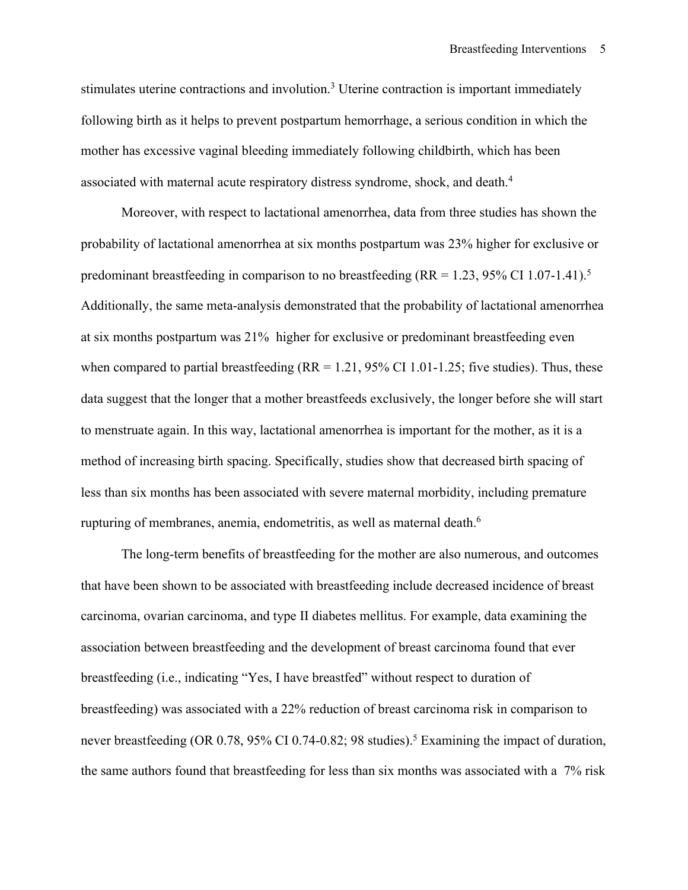stimulates uterine contractions and involution.3 Uterine contraction is important immediately following birth as it helps to prevent postpartum hemorrhage, a serious condition in which the mother has excessive vaginal bleeding immediately following childbirth, which has been associated with maternal acute respiratory distress syndrome, shock, and death.4

Moreover, with respect to lactational amenorrhea, data from three studies has shown the probability of lactational amenorrhea at six months postpartum was 23% higher for exclusive or predominant breastfeeding in comparison to no breastfeeding (RR = 1.23, 95% CI 1.07-1.41).<sup>5</sup> Additionally, the same meta-analysis demonstrated that the probability of lactational amenorrhea at six months postpartum was 21% higher for exclusive or predominant breastfeeding even when compared to partial breastfeeding  $(RR = 1.21, 95\% \text{ CI } 1.01 - 1.25$ ; five studies). Thus, these data suggest that the longer that a mother breastfeeds exclusively, the longer before she will start to menstruate again. In this way, lactational amenorrhea is important for the mother, as it is a method of increasing birth spacing. Specifically, studies show that decreased birth spacing of less than six months has been associated with severe maternal morbidity, including premature rupturing of membranes, anemia, endometritis, as well as maternal death.<sup>6</sup>

The long-term benefits of breastfeeding for the mother are also numerous, and outcomes that have been shown to be associated with breastfeeding include decreased incidence of breast carcinoma, ovarian carcinoma, and type II diabetes mellitus. For example, data examining the association between breastfeeding and the development of breast carcinoma found that ever breastfeeding (i.e., indicating "Yes, I have breastfed" without respect to duration of breastfeeding) was associated with a 22% reduction of breast carcinoma risk in comparison to never breastfeeding (OR 0.78, 95% CI 0.74-0.82; 98 studies). <sup>5</sup> Examining the impact of duration, the same authors found that breastfeeding for less than six months was associated with a 7% risk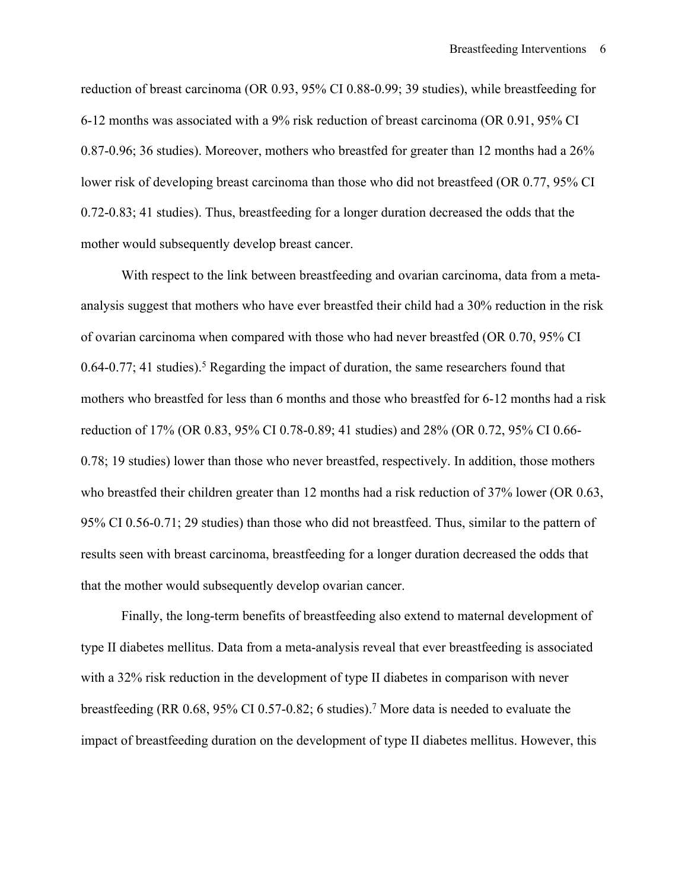reduction of breast carcinoma (OR 0.93, 95% CI 0.88-0.99; 39 studies), while breastfeeding for 6-12 months was associated with a 9% risk reduction of breast carcinoma (OR 0.91, 95% CI 0.87-0.96; 36 studies). Moreover, mothers who breastfed for greater than 12 months had a 26% lower risk of developing breast carcinoma than those who did not breastfeed (OR 0.77, 95% CI 0.72-0.83; 41 studies). Thus, breastfeeding for a longer duration decreased the odds that the mother would subsequently develop breast cancer.

With respect to the link between breastfeeding and ovarian carcinoma, data from a metaanalysis suggest that mothers who have ever breastfed their child had a 30% reduction in the risk of ovarian carcinoma when compared with those who had never breastfed (OR 0.70, 95% CI  $0.64$ -0.77; 41 studies).<sup>5</sup> Regarding the impact of duration, the same researchers found that mothers who breastfed for less than 6 months and those who breastfed for 6-12 months had a risk reduction of 17% (OR 0.83, 95% CI 0.78-0.89; 41 studies) and 28% (OR 0.72, 95% CI 0.66- 0.78; 19 studies) lower than those who never breastfed, respectively. In addition, those mothers who breastfed their children greater than 12 months had a risk reduction of 37% lower (OR 0.63, 95% CI 0.56-0.71; 29 studies) than those who did not breastfeed. Thus, similar to the pattern of results seen with breast carcinoma, breastfeeding for a longer duration decreased the odds that that the mother would subsequently develop ovarian cancer.

Finally, the long-term benefits of breastfeeding also extend to maternal development of type II diabetes mellitus. Data from a meta-analysis reveal that ever breastfeeding is associated with a 32% risk reduction in the development of type II diabetes in comparison with never breastfeeding (RR 0.68, 95% CI 0.57-0.82; 6 studies).7 More data is needed to evaluate the impact of breastfeeding duration on the development of type II diabetes mellitus. However, this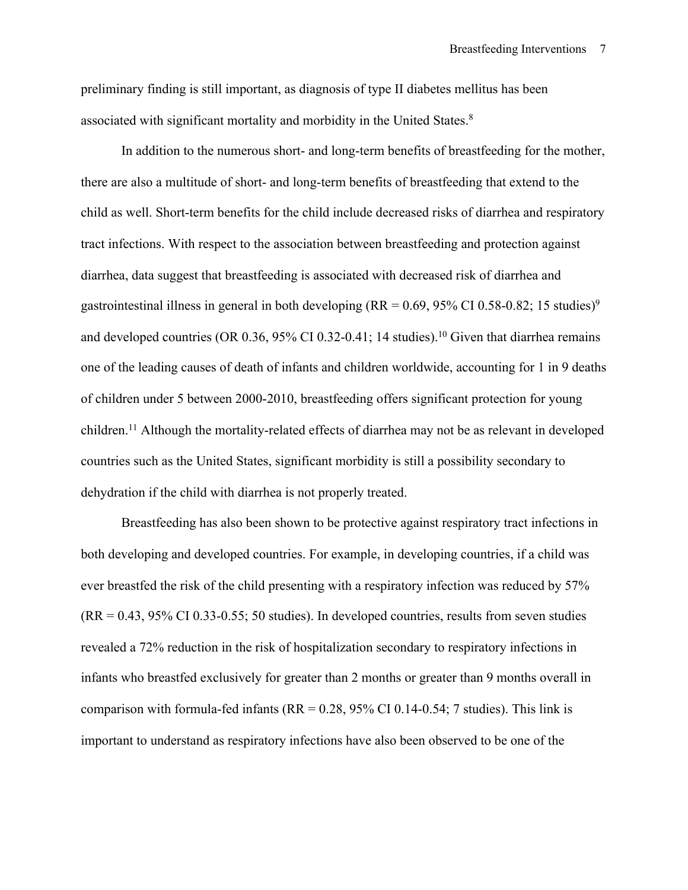preliminary finding is still important, as diagnosis of type II diabetes mellitus has been associated with significant mortality and morbidity in the United States.8

In addition to the numerous short- and long-term benefits of breastfeeding for the mother, there are also a multitude of short- and long-term benefits of breastfeeding that extend to the child as well. Short-term benefits for the child include decreased risks of diarrhea and respiratory tract infections. With respect to the association between breastfeeding and protection against diarrhea, data suggest that breastfeeding is associated with decreased risk of diarrhea and gastrointestinal illness in general in both developing (RR =  $0.69$ ,  $95\%$  CI  $0.58$ - $0.82$ ; 15 studies)<sup>9</sup> and developed countries (OR 0.36, 95% CI 0.32-0.41; 14 studies). <sup>10</sup> Given that diarrhea remains one of the leading causes of death of infants and children worldwide, accounting for 1 in 9 deaths of children under 5 between 2000-2010, breastfeeding offers significant protection for young children. <sup>11</sup> Although the mortality-related effects of diarrhea may not be as relevant in developed countries such as the United States, significant morbidity is still a possibility secondary to dehydration if the child with diarrhea is not properly treated.

Breastfeeding has also been shown to be protective against respiratory tract infections in both developing and developed countries. For example, in developing countries, if a child was ever breastfed the risk of the child presenting with a respiratory infection was reduced by 57%  $(RR = 0.43, 95\% \text{ CI } 0.33 - 0.55$ ; 50 studies). In developed countries, results from seven studies revealed a 72% reduction in the risk of hospitalization secondary to respiratory infections in infants who breastfed exclusively for greater than 2 months or greater than 9 months overall in comparison with formula-fed infants ( $RR = 0.28$ , 95% CI 0.14-0.54; 7 studies). This link is important to understand as respiratory infections have also been observed to be one of the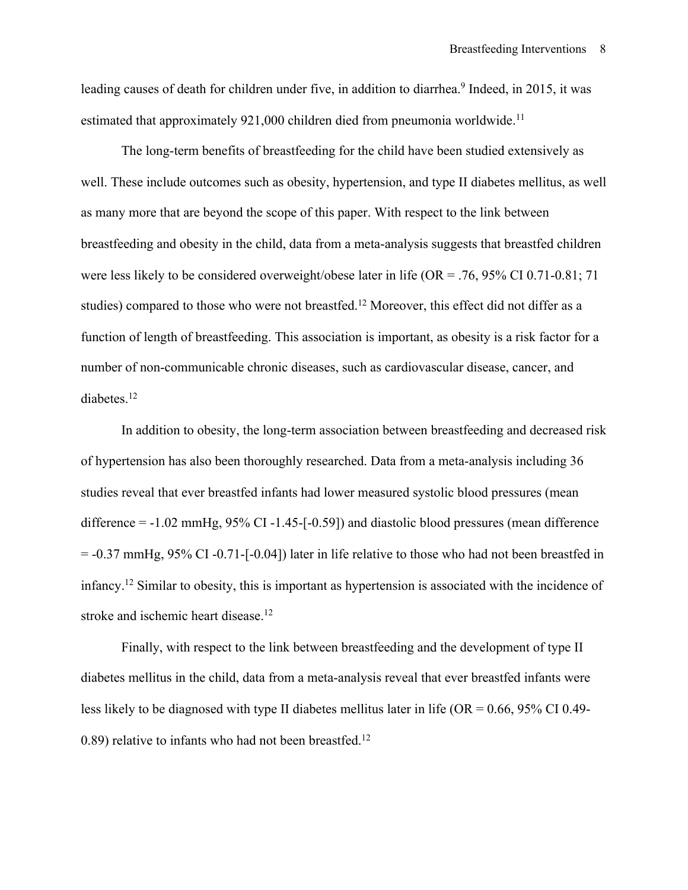leading causes of death for children under five, in addition to diarrhea.<sup>9</sup> Indeed, in 2015, it was estimated that approximately 921,000 children died from pneumonia worldwide.<sup>11</sup>

The long-term benefits of breastfeeding for the child have been studied extensively as well. These include outcomes such as obesity, hypertension, and type II diabetes mellitus, as well as many more that are beyond the scope of this paper. With respect to the link between breastfeeding and obesity in the child, data from a meta-analysis suggests that breastfed children were less likely to be considered overweight/obese later in life (OR = .76, 95% CI 0.71-0.81; 71 studies) compared to those who were not breastfed.<sup>12</sup> Moreover, this effect did not differ as a function of length of breastfeeding. This association is important, as obesity is a risk factor for a number of non-communicable chronic diseases, such as cardiovascular disease, cancer, and diabetes.<sup>12</sup>

In addition to obesity, the long-term association between breastfeeding and decreased risk of hypertension has also been thoroughly researched. Data from a meta-analysis including 36 studies reveal that ever breastfed infants had lower measured systolic blood pressures (mean difference = -1.02 mmHg, 95% CI -1.45-[-0.59]) and diastolic blood pressures (mean difference = -0.37 mmHg, 95% CI -0.71-[-0.04]) later in life relative to those who had not been breastfed in infancy.12 Similar to obesity, this is important as hypertension is associated with the incidence of stroke and ischemic heart disease.<sup>12</sup>

Finally, with respect to the link between breastfeeding and the development of type II diabetes mellitus in the child, data from a meta-analysis reveal that ever breastfed infants were less likely to be diagnosed with type II diabetes mellitus later in life (OR = 0.66, 95% CI 0.49- 0.89) relative to infants who had not been breastfed.<sup>12</sup>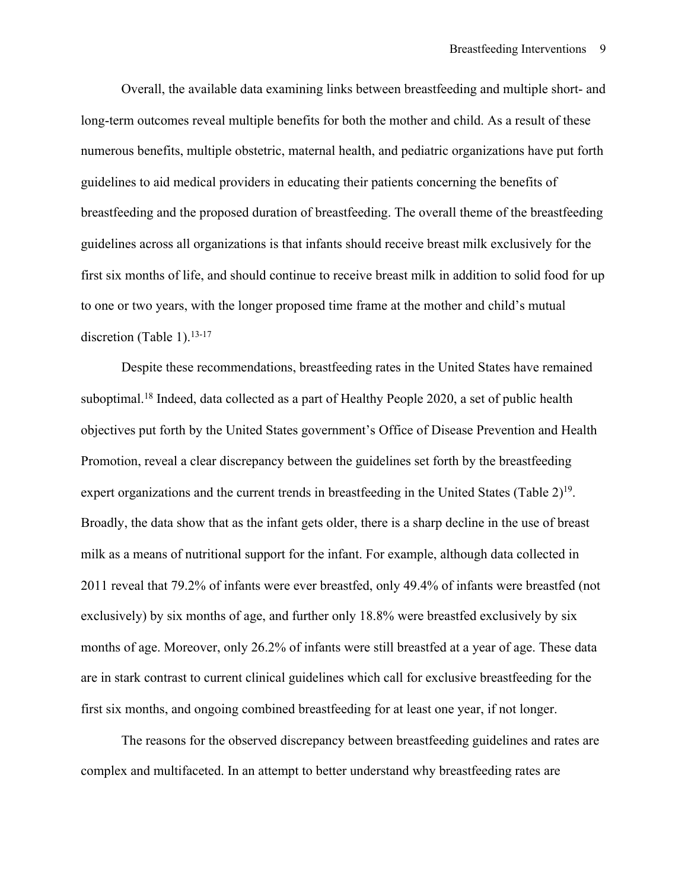Overall, the available data examining links between breastfeeding and multiple short- and long-term outcomes reveal multiple benefits for both the mother and child. As a result of these numerous benefits, multiple obstetric, maternal health, and pediatric organizations have put forth guidelines to aid medical providers in educating their patients concerning the benefits of breastfeeding and the proposed duration of breastfeeding. The overall theme of the breastfeeding guidelines across all organizations is that infants should receive breast milk exclusively for the first six months of life, and should continue to receive breast milk in addition to solid food for up to one or two years, with the longer proposed time frame at the mother and child's mutual discretion (Table 1). 13-17

Despite these recommendations, breastfeeding rates in the United States have remained suboptimal.<sup>18</sup> Indeed, data collected as a part of Healthy People 2020, a set of public health objectives put forth by the United States government's Office of Disease Prevention and Health Promotion, reveal a clear discrepancy between the guidelines set forth by the breastfeeding expert organizations and the current trends in breastfeeding in the United States (Table  $2^{19}$ . Broadly, the data show that as the infant gets older, there is a sharp decline in the use of breast milk as a means of nutritional support for the infant. For example, although data collected in 2011 reveal that 79.2% of infants were ever breastfed, only 49.4% of infants were breastfed (not exclusively) by six months of age, and further only 18.8% were breastfed exclusively by six months of age. Moreover, only 26.2% of infants were still breastfed at a year of age. These data are in stark contrast to current clinical guidelines which call for exclusive breastfeeding for the first six months, and ongoing combined breastfeeding for at least one year, if not longer.

The reasons for the observed discrepancy between breastfeeding guidelines and rates are complex and multifaceted. In an attempt to better understand why breastfeeding rates are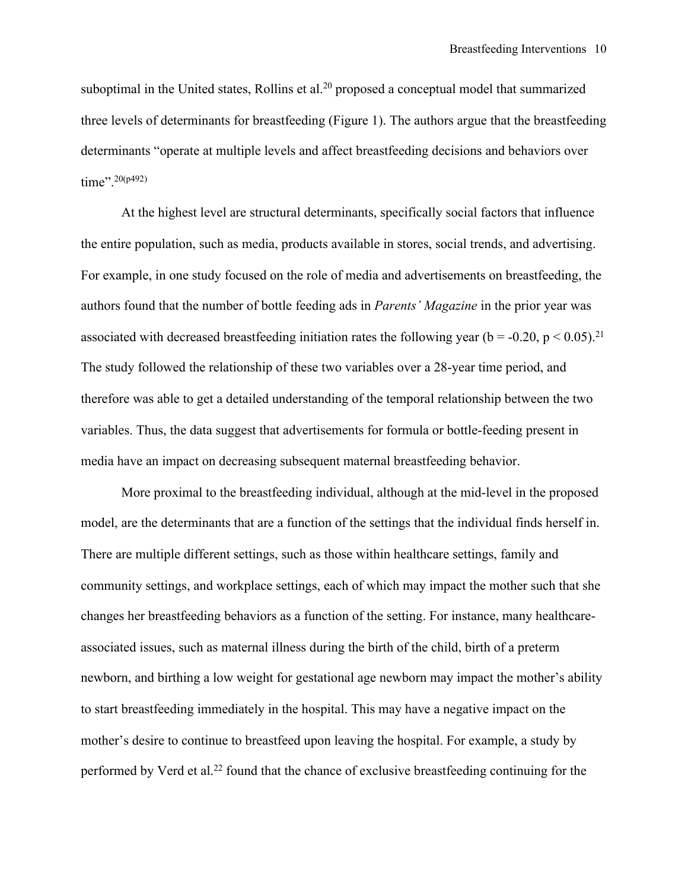suboptimal in the United states, Rollins et al.<sup>20</sup> proposed a conceptual model that summarized three levels of determinants for breastfeeding (Figure 1). The authors argue that the breastfeeding determinants "operate at multiple levels and affect breastfeeding decisions and behaviors over time". 20(p492)

At the highest level are structural determinants, specifically social factors that influence the entire population, such as media, products available in stores, social trends, and advertising. For example, in one study focused on the role of media and advertisements on breastfeeding, the authors found that the number of bottle feeding ads in *Parents' Magazine* in the prior year was associated with decreased breastfeeding initiation rates the following year ( $b = -0.20$ ,  $p < 0.05$ ).<sup>21</sup> The study followed the relationship of these two variables over a 28-year time period, and therefore was able to get a detailed understanding of the temporal relationship between the two variables. Thus, the data suggest that advertisements for formula or bottle-feeding present in media have an impact on decreasing subsequent maternal breastfeeding behavior.

More proximal to the breastfeeding individual, although at the mid-level in the proposed model, are the determinants that are a function of the settings that the individual finds herself in. There are multiple different settings, such as those within healthcare settings, family and community settings, and workplace settings, each of which may impact the mother such that she changes her breastfeeding behaviors as a function of the setting. For instance, many healthcareassociated issues, such as maternal illness during the birth of the child, birth of a preterm newborn, and birthing a low weight for gestational age newborn may impact the mother's ability to start breastfeeding immediately in the hospital. This may have a negative impact on the mother's desire to continue to breastfeed upon leaving the hospital. For example, a study by performed by Verd et al.22 found that the chance of exclusive breastfeeding continuing for the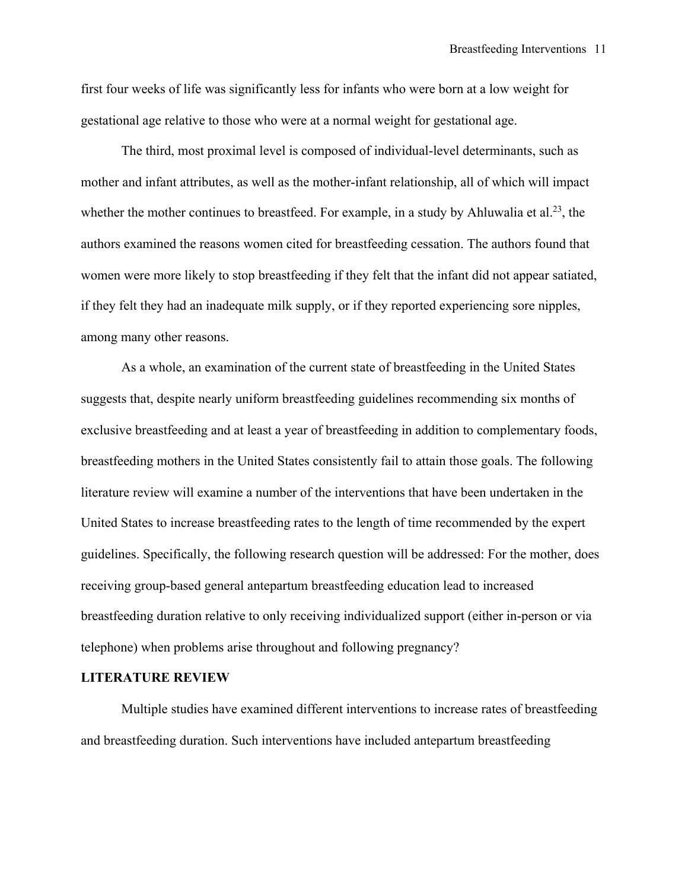first four weeks of life was significantly less for infants who were born at a low weight for gestational age relative to those who were at a normal weight for gestational age.

The third, most proximal level is composed of individual-level determinants, such as mother and infant attributes, as well as the mother-infant relationship, all of which will impact whether the mother continues to breastfeed. For example, in a study by Ahluwalia et al.<sup>23</sup>, the authors examined the reasons women cited for breastfeeding cessation. The authors found that women were more likely to stop breastfeeding if they felt that the infant did not appear satiated, if they felt they had an inadequate milk supply, or if they reported experiencing sore nipples, among many other reasons.

As a whole, an examination of the current state of breastfeeding in the United States suggests that, despite nearly uniform breastfeeding guidelines recommending six months of exclusive breastfeeding and at least a year of breastfeeding in addition to complementary foods, breastfeeding mothers in the United States consistently fail to attain those goals. The following literature review will examine a number of the interventions that have been undertaken in the United States to increase breastfeeding rates to the length of time recommended by the expert guidelines. Specifically, the following research question will be addressed: For the mother, does receiving group-based general antepartum breastfeeding education lead to increased breastfeeding duration relative to only receiving individualized support (either in-person or via telephone) when problems arise throughout and following pregnancy?

#### **LITERATURE REVIEW**

Multiple studies have examined different interventions to increase rates of breastfeeding and breastfeeding duration. Such interventions have included antepartum breastfeeding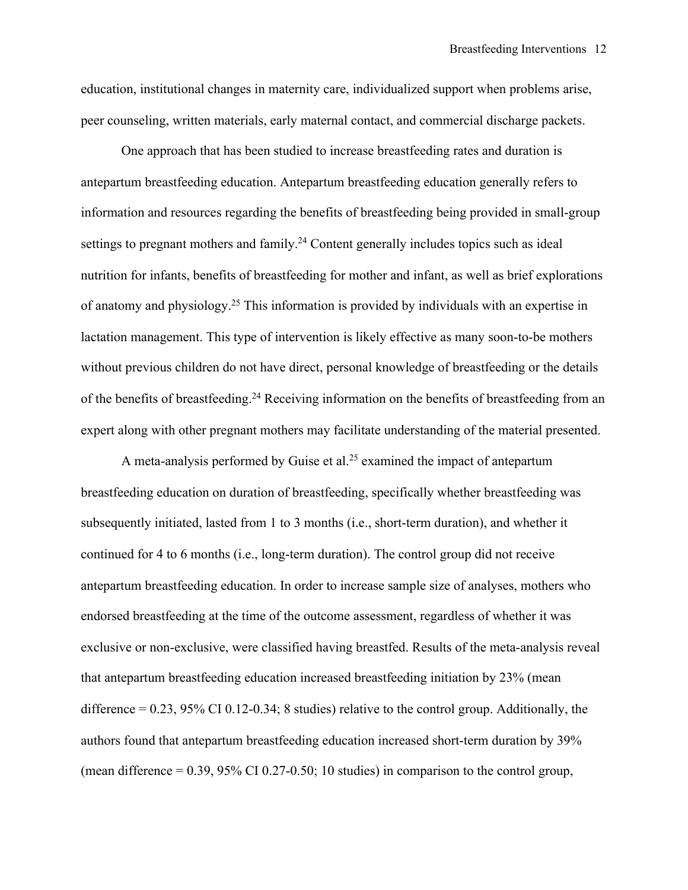education, institutional changes in maternity care, individualized support when problems arise, peer counseling, written materials, early maternal contact, and commercial discharge packets.

One approach that has been studied to increase breastfeeding rates and duration is antepartum breastfeeding education. Antepartum breastfeeding education generally refers to information and resources regarding the benefits of breastfeeding being provided in small-group settings to pregnant mothers and family.<sup>24</sup> Content generally includes topics such as ideal nutrition for infants, benefits of breastfeeding for mother and infant, as well as brief explorations of anatomy and physiology.25 This information is provided by individuals with an expertise in lactation management. This type of intervention is likely effective as many soon-to-be mothers without previous children do not have direct, personal knowledge of breastfeeding or the details of the benefits of breastfeeding.24 Receiving information on the benefits of breastfeeding from an expert along with other pregnant mothers may facilitate understanding of the material presented.

A meta-analysis performed by Guise et al.<sup>25</sup> examined the impact of antepartum breastfeeding education on duration of breastfeeding, specifically whether breastfeeding was subsequently initiated, lasted from 1 to 3 months (i.e., short-term duration), and whether it continued for 4 to 6 months (i.e., long-term duration). The control group did not receive antepartum breastfeeding education. In order to increase sample size of analyses, mothers who endorsed breastfeeding at the time of the outcome assessment, regardless of whether it was exclusive or non-exclusive, were classified having breastfed. Results of the meta-analysis reveal that antepartum breastfeeding education increased breastfeeding initiation by 23% (mean difference = 0.23, 95% CI 0.12-0.34; 8 studies) relative to the control group. Additionally, the authors found that antepartum breastfeeding education increased short-term duration by 39% (mean difference  $= 0.39$ , 95% CI 0.27-0.50; 10 studies) in comparison to the control group,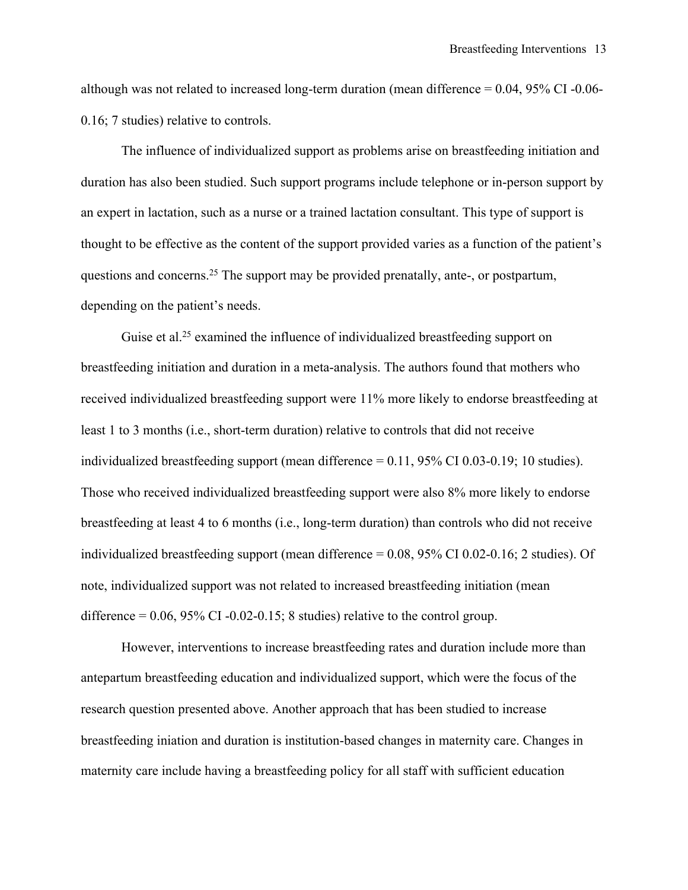although was not related to increased long-term duration (mean difference  $= 0.04$ , 95% CI -0.06-0.16; 7 studies) relative to controls.

The influence of individualized support as problems arise on breastfeeding initiation and duration has also been studied. Such support programs include telephone or in-person support by an expert in lactation, such as a nurse or a trained lactation consultant. This type of support is thought to be effective as the content of the support provided varies as a function of the patient's questions and concerns.25 The support may be provided prenatally, ante-, or postpartum, depending on the patient's needs.

Guise et al.<sup>25</sup> examined the influence of individualized breastfeeding support on breastfeeding initiation and duration in a meta-analysis. The authors found that mothers who received individualized breastfeeding support were 11% more likely to endorse breastfeeding at least 1 to 3 months (i.e., short-term duration) relative to controls that did not receive individualized breastfeeding support (mean difference = 0.11, 95% CI 0.03-0.19; 10 studies). Those who received individualized breastfeeding support were also 8% more likely to endorse breastfeeding at least 4 to 6 months (i.e., long-term duration) than controls who did not receive individualized breastfeeding support (mean difference = 0.08, 95% CI 0.02-0.16; 2 studies). Of note, individualized support was not related to increased breastfeeding initiation (mean difference  $= 0.06$ , 95% CI -0.02-0.15; 8 studies) relative to the control group.

However, interventions to increase breastfeeding rates and duration include more than antepartum breastfeeding education and individualized support, which were the focus of the research question presented above. Another approach that has been studied to increase breastfeeding iniation and duration is institution-based changes in maternity care. Changes in maternity care include having a breastfeeding policy for all staff with sufficient education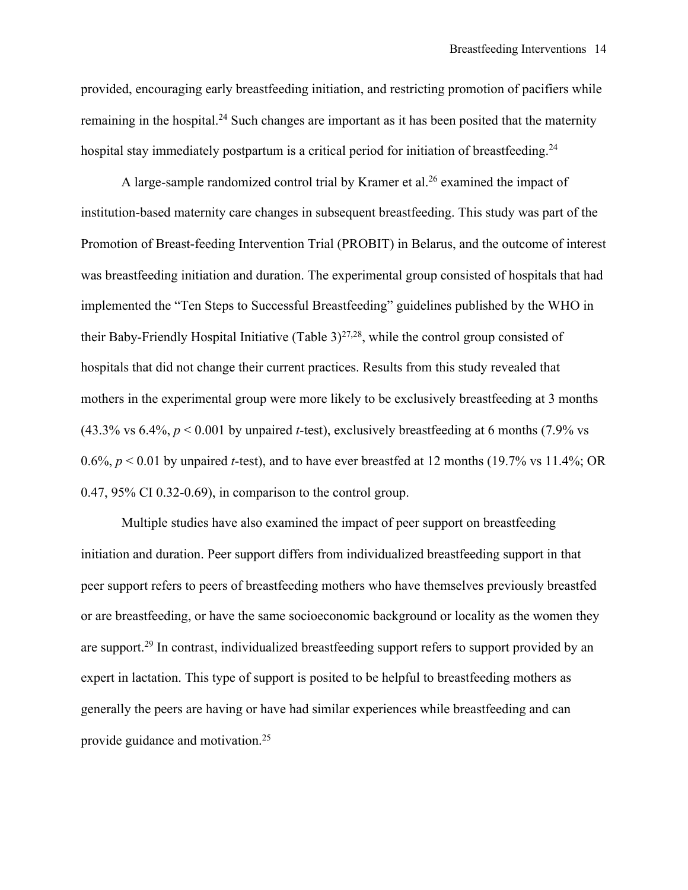provided, encouraging early breastfeeding initiation, and restricting promotion of pacifiers while remaining in the hospital.<sup>24</sup> Such changes are important as it has been posited that the maternity hospital stay immediately postpartum is a critical period for initiation of breastfeeding.<sup>24</sup>

A large-sample randomized control trial by Kramer et al.<sup>26</sup> examined the impact of institution-based maternity care changes in subsequent breastfeeding. This study was part of the Promotion of Breast-feeding Intervention Trial (PROBIT) in Belarus, and the outcome of interest was breastfeeding initiation and duration. The experimental group consisted of hospitals that had implemented the "Ten Steps to Successful Breastfeeding" guidelines published by the WHO in their Baby-Friendly Hospital Initiative (Table  $3)^{27,28}$ , while the control group consisted of hospitals that did not change their current practices. Results from this study revealed that mothers in the experimental group were more likely to be exclusively breastfeeding at 3 months  $(43.3\% \text{ vs } 6.4\% \text{, } p \le 0.001 \text{ by unpaired } t\text{-test})$ , exclusively breastfeeding at 6 months (7.9% vs 0.6%, *p* < 0.01 by unpaired *t*-test), and to have ever breastfed at 12 months (19.7% vs 11.4%; OR 0.47, 95% CI 0.32-0.69), in comparison to the control group.

Multiple studies have also examined the impact of peer support on breastfeeding initiation and duration. Peer support differs from individualized breastfeeding support in that peer support refers to peers of breastfeeding mothers who have themselves previously breastfed or are breastfeeding, or have the same socioeconomic background or locality as the women they are support.29 In contrast, individualized breastfeeding support refers to support provided by an expert in lactation. This type of support is posited to be helpful to breastfeeding mothers as generally the peers are having or have had similar experiences while breastfeeding and can provide guidance and motivation.25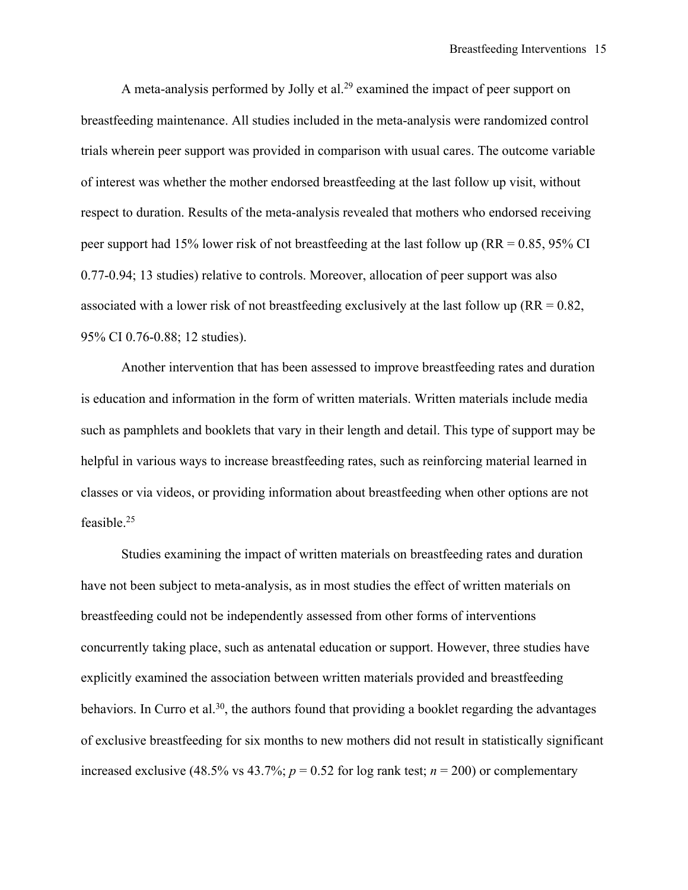A meta-analysis performed by Jolly et al.<sup>29</sup> examined the impact of peer support on breastfeeding maintenance. All studies included in the meta-analysis were randomized control trials wherein peer support was provided in comparison with usual cares. The outcome variable of interest was whether the mother endorsed breastfeeding at the last follow up visit, without respect to duration. Results of the meta-analysis revealed that mothers who endorsed receiving peer support had 15% lower risk of not breastfeeding at the last follow up (RR = 0.85, 95% CI 0.77-0.94; 13 studies) relative to controls. Moreover, allocation of peer support was also associated with a lower risk of not breastfeeding exclusively at the last follow up ( $RR = 0.82$ , 95% CI 0.76-0.88; 12 studies).

Another intervention that has been assessed to improve breastfeeding rates and duration is education and information in the form of written materials. Written materials include media such as pamphlets and booklets that vary in their length and detail. This type of support may be helpful in various ways to increase breastfeeding rates, such as reinforcing material learned in classes or via videos, or providing information about breastfeeding when other options are not feasible. 25

Studies examining the impact of written materials on breastfeeding rates and duration have not been subject to meta-analysis, as in most studies the effect of written materials on breastfeeding could not be independently assessed from other forms of interventions concurrently taking place, such as antenatal education or support. However, three studies have explicitly examined the association between written materials provided and breastfeeding behaviors. In Curro et al.<sup>30</sup>, the authors found that providing a booklet regarding the advantages of exclusive breastfeeding for six months to new mothers did not result in statistically significant increased exclusive (48.5% vs 43.7%;  $p = 0.52$  for log rank test;  $n = 200$ ) or complementary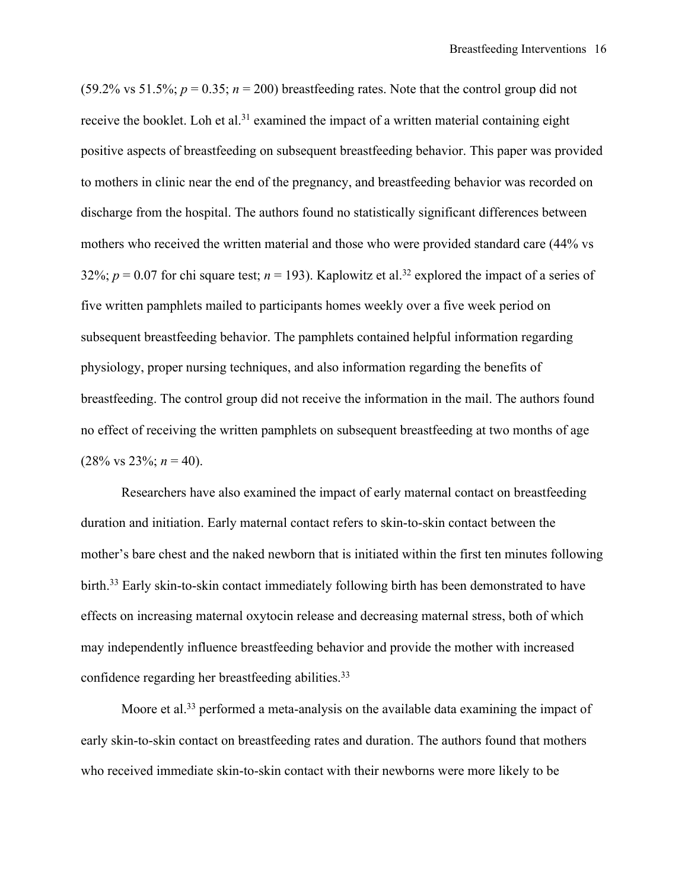(59.2% vs 51.5%;  $p = 0.35$ ;  $n = 200$ ) breastfeeding rates. Note that the control group did not receive the booklet. Loh et al.<sup>31</sup> examined the impact of a written material containing eight positive aspects of breastfeeding on subsequent breastfeeding behavior. This paper was provided to mothers in clinic near the end of the pregnancy, and breastfeeding behavior was recorded on discharge from the hospital. The authors found no statistically significant differences between mothers who received the written material and those who were provided standard care (44% vs 32%;  $p = 0.07$  for chi square test;  $n = 193$ ). Kaplowitz et al.<sup>32</sup> explored the impact of a series of five written pamphlets mailed to participants homes weekly over a five week period on subsequent breastfeeding behavior. The pamphlets contained helpful information regarding physiology, proper nursing techniques, and also information regarding the benefits of breastfeeding. The control group did not receive the information in the mail. The authors found no effect of receiving the written pamphlets on subsequent breastfeeding at two months of age  $(28\% \text{ vs } 23\%; n = 40).$ 

Researchers have also examined the impact of early maternal contact on breastfeeding duration and initiation. Early maternal contact refers to skin-to-skin contact between the mother's bare chest and the naked newborn that is initiated within the first ten minutes following birth.<sup>33</sup> Early skin-to-skin contact immediately following birth has been demonstrated to have effects on increasing maternal oxytocin release and decreasing maternal stress, both of which may independently influence breastfeeding behavior and provide the mother with increased confidence regarding her breastfeeding abilities.<sup>33</sup>

Moore et al.<sup>33</sup> performed a meta-analysis on the available data examining the impact of early skin-to-skin contact on breastfeeding rates and duration. The authors found that mothers who received immediate skin-to-skin contact with their newborns were more likely to be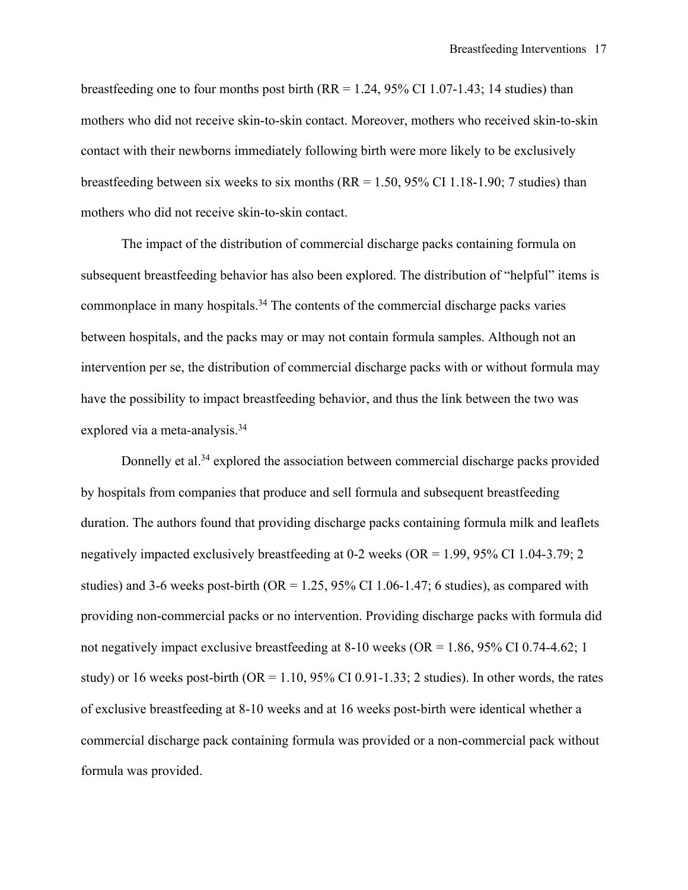breastfeeding one to four months post birth  $(RR = 1.24, 95\% \text{ CI } 1.07$ -1.43; 14 studies) than mothers who did not receive skin-to-skin contact. Moreover, mothers who received skin-to-skin contact with their newborns immediately following birth were more likely to be exclusively breastfeeding between six weeks to six months ( $RR = 1.50$ ,  $95\%$  CI 1.18-1.90; 7 studies) than mothers who did not receive skin-to-skin contact.

The impact of the distribution of commercial discharge packs containing formula on subsequent breastfeeding behavior has also been explored. The distribution of "helpful" items is commonplace in many hospitals.<sup>34</sup> The contents of the commercial discharge packs varies between hospitals, and the packs may or may not contain formula samples. Although not an intervention per se, the distribution of commercial discharge packs with or without formula may have the possibility to impact breastfeeding behavior, and thus the link between the two was explored via a meta-analysis.<sup>34</sup>

Donnelly et al.<sup>34</sup> explored the association between commercial discharge packs provided by hospitals from companies that produce and sell formula and subsequent breastfeeding duration. The authors found that providing discharge packs containing formula milk and leaflets negatively impacted exclusively breastfeeding at 0-2 weeks (OR = 1.99, 95% CI 1.04-3.79; 2 studies) and 3-6 weeks post-birth ( $OR = 1.25$ ,  $95\%$  CI 1.06-1.47; 6 studies), as compared with providing non-commercial packs or no intervention. Providing discharge packs with formula did not negatively impact exclusive breastfeeding at 8-10 weeks (OR = 1.86, 95% CI 0.74-4.62; 1 study) or 16 weeks post-birth ( $OR = 1.10$ , 95% CI 0.91-1.33; 2 studies). In other words, the rates of exclusive breastfeeding at 8-10 weeks and at 16 weeks post-birth were identical whether a commercial discharge pack containing formula was provided or a non-commercial pack without formula was provided.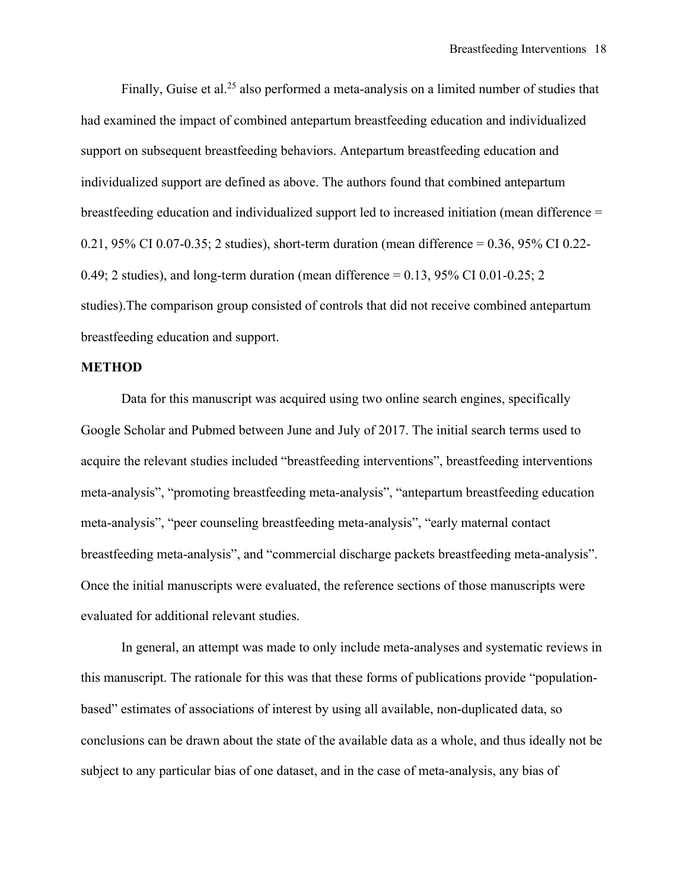Finally, Guise et al.<sup>25</sup> also performed a meta-analysis on a limited number of studies that had examined the impact of combined antepartum breastfeeding education and individualized support on subsequent breastfeeding behaviors. Antepartum breastfeeding education and individualized support are defined as above. The authors found that combined antepartum breastfeeding education and individualized support led to increased initiation (mean difference = 0.21, 95% CI 0.07-0.35; 2 studies), short-term duration (mean difference = 0.36, 95% CI 0.22- 0.49; 2 studies), and long-term duration (mean difference  $= 0.13$ , 95% CI 0.01-0.25; 2 studies).The comparison group consisted of controls that did not receive combined antepartum breastfeeding education and support.

#### **METHOD**

Data for this manuscript was acquired using two online search engines, specifically Google Scholar and Pubmed between June and July of 2017. The initial search terms used to acquire the relevant studies included "breastfeeding interventions", breastfeeding interventions meta-analysis", "promoting breastfeeding meta-analysis", "antepartum breastfeeding education meta-analysis", "peer counseling breastfeeding meta-analysis", "early maternal contact breastfeeding meta-analysis", and "commercial discharge packets breastfeeding meta-analysis". Once the initial manuscripts were evaluated, the reference sections of those manuscripts were evaluated for additional relevant studies.

In general, an attempt was made to only include meta-analyses and systematic reviews in this manuscript. The rationale for this was that these forms of publications provide "populationbased" estimates of associations of interest by using all available, non-duplicated data, so conclusions can be drawn about the state of the available data as a whole, and thus ideally not be subject to any particular bias of one dataset, and in the case of meta-analysis, any bias of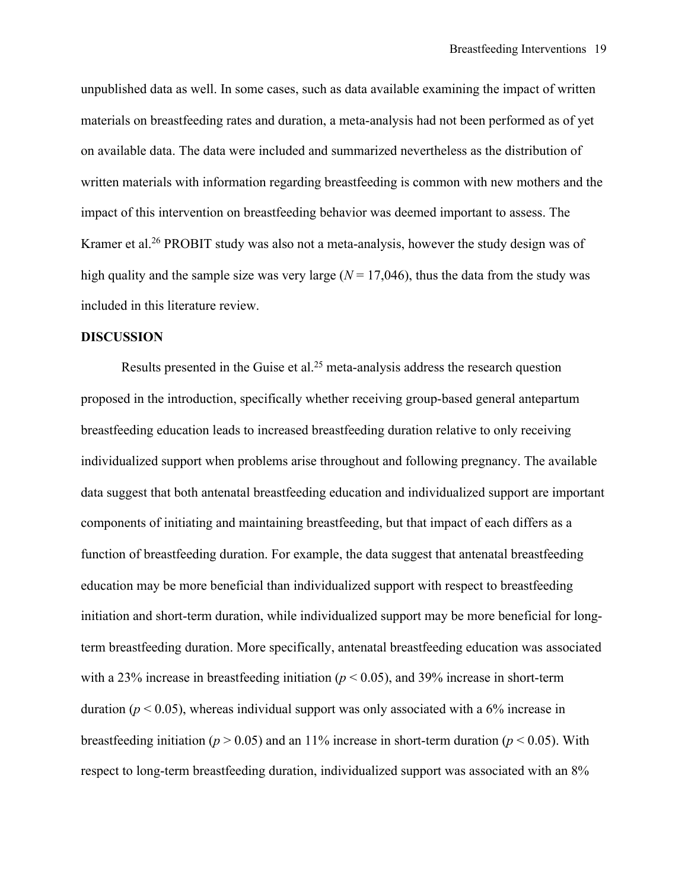unpublished data as well. In some cases, such as data available examining the impact of written materials on breastfeeding rates and duration, a meta-analysis had not been performed as of yet on available data. The data were included and summarized nevertheless as the distribution of written materials with information regarding breastfeeding is common with new mothers and the impact of this intervention on breastfeeding behavior was deemed important to assess. The Kramer et al.26 PROBIT study was also not a meta-analysis, however the study design was of high quality and the sample size was very large  $(N = 17,046)$ , thus the data from the study was included in this literature review.

#### **DISCUSSION**

Results presented in the Guise et al.<sup>25</sup> meta-analysis address the research question proposed in the introduction, specifically whether receiving group-based general antepartum breastfeeding education leads to increased breastfeeding duration relative to only receiving individualized support when problems arise throughout and following pregnancy. The available data suggest that both antenatal breastfeeding education and individualized support are important components of initiating and maintaining breastfeeding, but that impact of each differs as a function of breastfeeding duration. For example, the data suggest that antenatal breastfeeding education may be more beneficial than individualized support with respect to breastfeeding initiation and short-term duration, while individualized support may be more beneficial for longterm breastfeeding duration. More specifically, antenatal breastfeeding education was associated with a 23% increase in breastfeeding initiation ( $p < 0.05$ ), and 39% increase in short-term duration ( $p < 0.05$ ), whereas individual support was only associated with a 6% increase in breastfeeding initiation ( $p > 0.05$ ) and an 11% increase in short-term duration ( $p < 0.05$ ). With respect to long-term breastfeeding duration, individualized support was associated with an 8%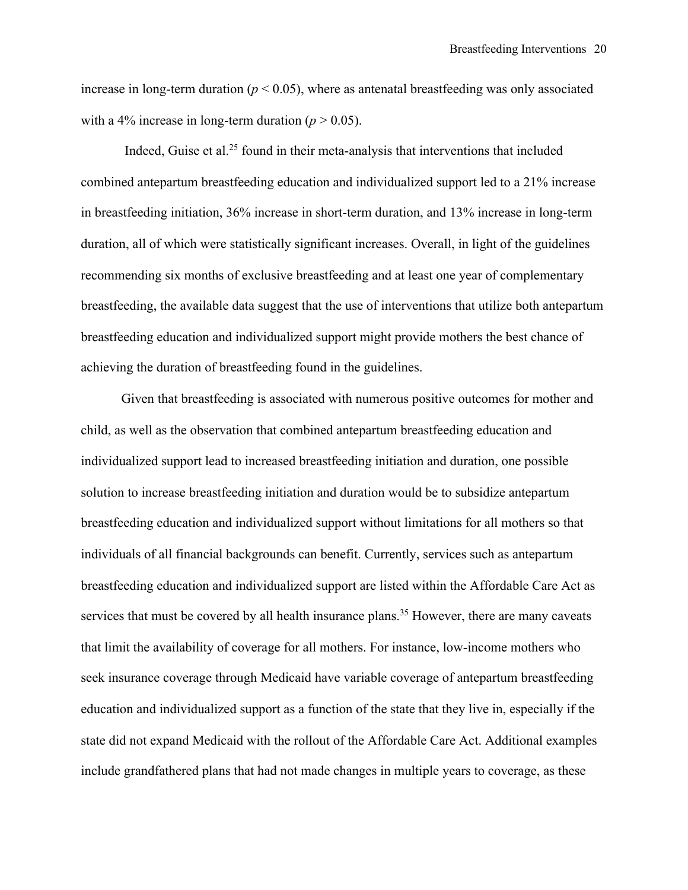increase in long-term duration ( $p < 0.05$ ), where as antenatal breastfeeding was only associated with a 4% increase in long-term duration  $(p > 0.05)$ .

Indeed, Guise et al. <sup>25</sup> found in their meta-analysis that interventions that included combined antepartum breastfeeding education and individualized support led to a 21% increase in breastfeeding initiation, 36% increase in short-term duration, and 13% increase in long-term duration, all of which were statistically significant increases. Overall, in light of the guidelines recommending six months of exclusive breastfeeding and at least one year of complementary breastfeeding, the available data suggest that the use of interventions that utilize both antepartum breastfeeding education and individualized support might provide mothers the best chance of achieving the duration of breastfeeding found in the guidelines.

Given that breastfeeding is associated with numerous positive outcomes for mother and child, as well as the observation that combined antepartum breastfeeding education and individualized support lead to increased breastfeeding initiation and duration, one possible solution to increase breastfeeding initiation and duration would be to subsidize antepartum breastfeeding education and individualized support without limitations for all mothers so that individuals of all financial backgrounds can benefit. Currently, services such as antepartum breastfeeding education and individualized support are listed within the Affordable Care Act as services that must be covered by all health insurance plans.<sup>35</sup> However, there are many caveats that limit the availability of coverage for all mothers. For instance, low-income mothers who seek insurance coverage through Medicaid have variable coverage of antepartum breastfeeding education and individualized support as a function of the state that they live in, especially if the state did not expand Medicaid with the rollout of the Affordable Care Act. Additional examples include grandfathered plans that had not made changes in multiple years to coverage, as these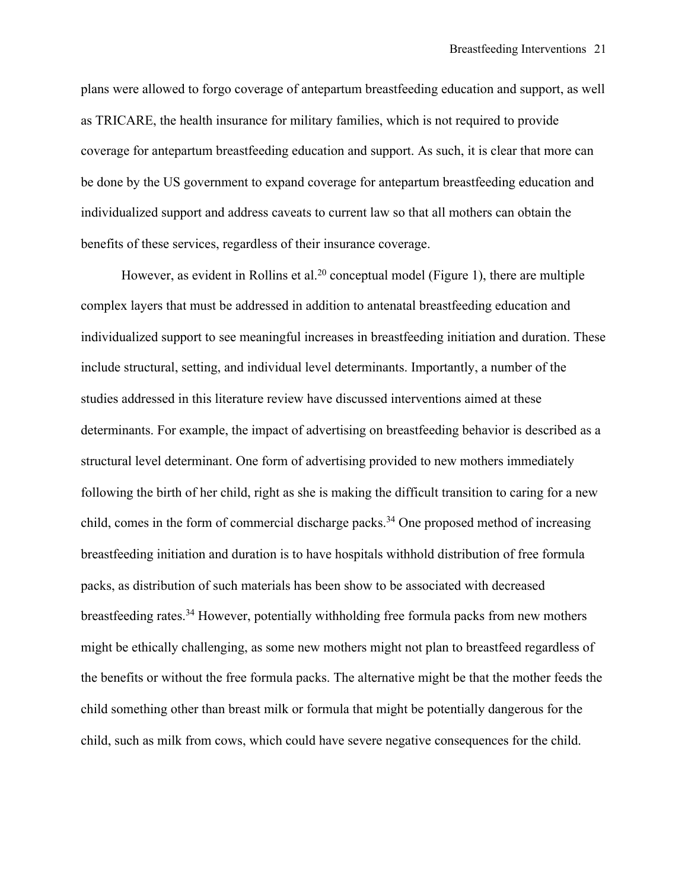plans were allowed to forgo coverage of antepartum breastfeeding education and support, as well as TRICARE, the health insurance for military families, which is not required to provide coverage for antepartum breastfeeding education and support. As such, it is clear that more can be done by the US government to expand coverage for antepartum breastfeeding education and individualized support and address caveats to current law so that all mothers can obtain the benefits of these services, regardless of their insurance coverage.

However, as evident in Rollins et al.<sup>20</sup> conceptual model (Figure 1), there are multiple complex layers that must be addressed in addition to antenatal breastfeeding education and individualized support to see meaningful increases in breastfeeding initiation and duration. These include structural, setting, and individual level determinants. Importantly, a number of the studies addressed in this literature review have discussed interventions aimed at these determinants. For example, the impact of advertising on breastfeeding behavior is described as a structural level determinant. One form of advertising provided to new mothers immediately following the birth of her child, right as she is making the difficult transition to caring for a new child, comes in the form of commercial discharge packs. <sup>34</sup> One proposed method of increasing breastfeeding initiation and duration is to have hospitals withhold distribution of free formula packs, as distribution of such materials has been show to be associated with decreased breastfeeding rates.<sup>34</sup> However, potentially withholding free formula packs from new mothers might be ethically challenging, as some new mothers might not plan to breastfeed regardless of the benefits or without the free formula packs. The alternative might be that the mother feeds the child something other than breast milk or formula that might be potentially dangerous for the child, such as milk from cows, which could have severe negative consequences for the child.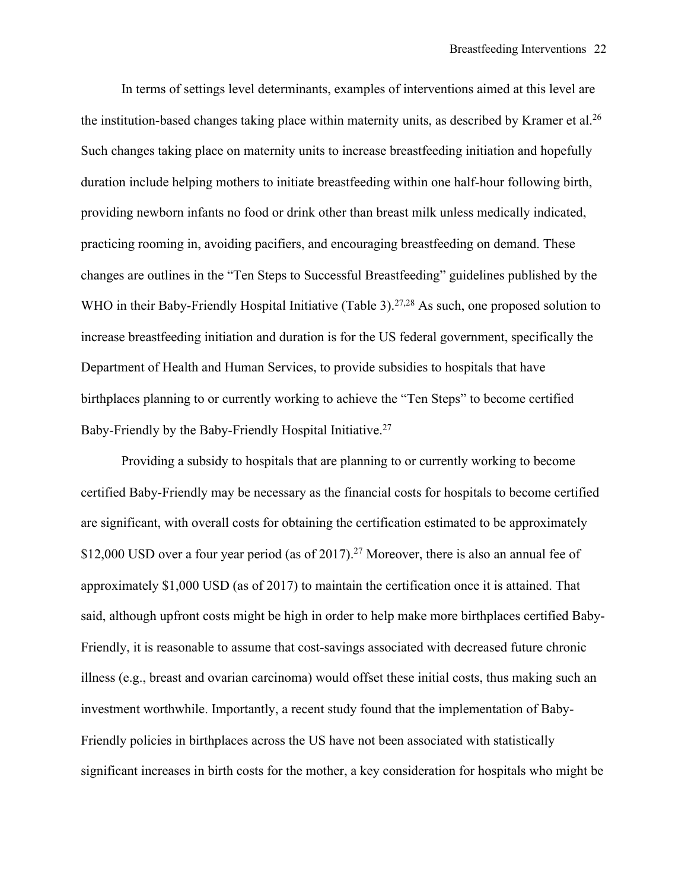In terms of settings level determinants, examples of interventions aimed at this level are the institution-based changes taking place within maternity units, as described by Kramer et al.<sup>26</sup> Such changes taking place on maternity units to increase breastfeeding initiation and hopefully duration include helping mothers to initiate breastfeeding within one half-hour following birth, providing newborn infants no food or drink other than breast milk unless medically indicated, practicing rooming in, avoiding pacifiers, and encouraging breastfeeding on demand. These changes are outlines in the "Ten Steps to Successful Breastfeeding" guidelines published by the WHO in their Baby-Friendly Hospital Initiative (Table 3).<sup>27,28</sup> As such, one proposed solution to increase breastfeeding initiation and duration is for the US federal government, specifically the Department of Health and Human Services, to provide subsidies to hospitals that have birthplaces planning to or currently working to achieve the "Ten Steps" to become certified Baby-Friendly by the Baby-Friendly Hospital Initiative.<sup>27</sup>

Providing a subsidy to hospitals that are planning to or currently working to become certified Baby-Friendly may be necessary as the financial costs for hospitals to become certified are significant, with overall costs for obtaining the certification estimated to be approximately \$12,000 USD over a four year period (as of 2017).<sup>27</sup> Moreover, there is also an annual fee of approximately \$1,000 USD (as of 2017) to maintain the certification once it is attained. That said, although upfront costs might be high in order to help make more birthplaces certified Baby-Friendly, it is reasonable to assume that cost-savings associated with decreased future chronic illness (e.g., breast and ovarian carcinoma) would offset these initial costs, thus making such an investment worthwhile. Importantly, a recent study found that the implementation of Baby-Friendly policies in birthplaces across the US have not been associated with statistically significant increases in birth costs for the mother, a key consideration for hospitals who might be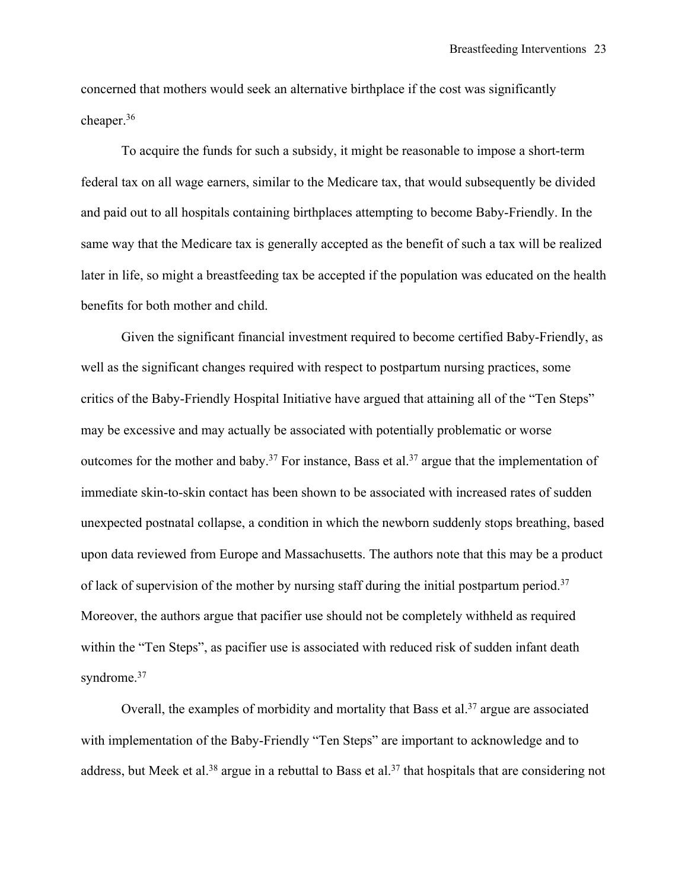concerned that mothers would seek an alternative birthplace if the cost was significantly cheaper. 36

To acquire the funds for such a subsidy, it might be reasonable to impose a short-term federal tax on all wage earners, similar to the Medicare tax, that would subsequently be divided and paid out to all hospitals containing birthplaces attempting to become Baby-Friendly. In the same way that the Medicare tax is generally accepted as the benefit of such a tax will be realized later in life, so might a breastfeeding tax be accepted if the population was educated on the health benefits for both mother and child.

Given the significant financial investment required to become certified Baby-Friendly, as well as the significant changes required with respect to postpartum nursing practices, some critics of the Baby-Friendly Hospital Initiative have argued that attaining all of the "Ten Steps" may be excessive and may actually be associated with potentially problematic or worse outcomes for the mother and baby.<sup>37</sup> For instance, Bass et al.<sup>37</sup> argue that the implementation of immediate skin-to-skin contact has been shown to be associated with increased rates of sudden unexpected postnatal collapse, a condition in which the newborn suddenly stops breathing, based upon data reviewed from Europe and Massachusetts. The authors note that this may be a product of lack of supervision of the mother by nursing staff during the initial postpartum period.<sup>37</sup> Moreover, the authors argue that pacifier use should not be completely withheld as required within the "Ten Steps", as pacifier use is associated with reduced risk of sudden infant death syndrome.<sup>37</sup>

Overall, the examples of morbidity and mortality that Bass et al.<sup>37</sup> argue are associated with implementation of the Baby-Friendly "Ten Steps" are important to acknowledge and to address, but Meek et al.<sup>38</sup> argue in a rebuttal to Bass et al.<sup>37</sup> that hospitals that are considering not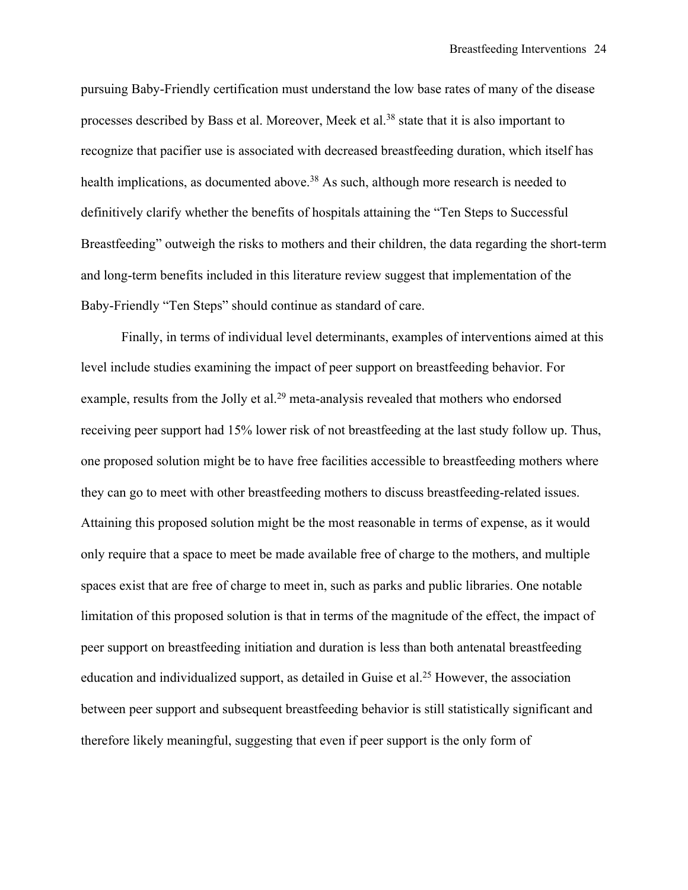pursuing Baby-Friendly certification must understand the low base rates of many of the disease processes described by Bass et al. Moreover, Meek et al.38 state that it is also important to recognize that pacifier use is associated with decreased breastfeeding duration, which itself has health implications, as documented above.<sup>38</sup> As such, although more research is needed to definitively clarify whether the benefits of hospitals attaining the "Ten Steps to Successful Breastfeeding" outweigh the risks to mothers and their children, the data regarding the short-term and long-term benefits included in this literature review suggest that implementation of the Baby-Friendly "Ten Steps" should continue as standard of care.

Finally, in terms of individual level determinants, examples of interventions aimed at this level include studies examining the impact of peer support on breastfeeding behavior. For example, results from the Jolly et al.<sup>29</sup> meta-analysis revealed that mothers who endorsed receiving peer support had 15% lower risk of not breastfeeding at the last study follow up. Thus, one proposed solution might be to have free facilities accessible to breastfeeding mothers where they can go to meet with other breastfeeding mothers to discuss breastfeeding-related issues. Attaining this proposed solution might be the most reasonable in terms of expense, as it would only require that a space to meet be made available free of charge to the mothers, and multiple spaces exist that are free of charge to meet in, such as parks and public libraries. One notable limitation of this proposed solution is that in terms of the magnitude of the effect, the impact of peer support on breastfeeding initiation and duration is less than both antenatal breastfeeding education and individualized support, as detailed in Guise et al.<sup>25</sup> However, the association between peer support and subsequent breastfeeding behavior is still statistically significant and therefore likely meaningful, suggesting that even if peer support is the only form of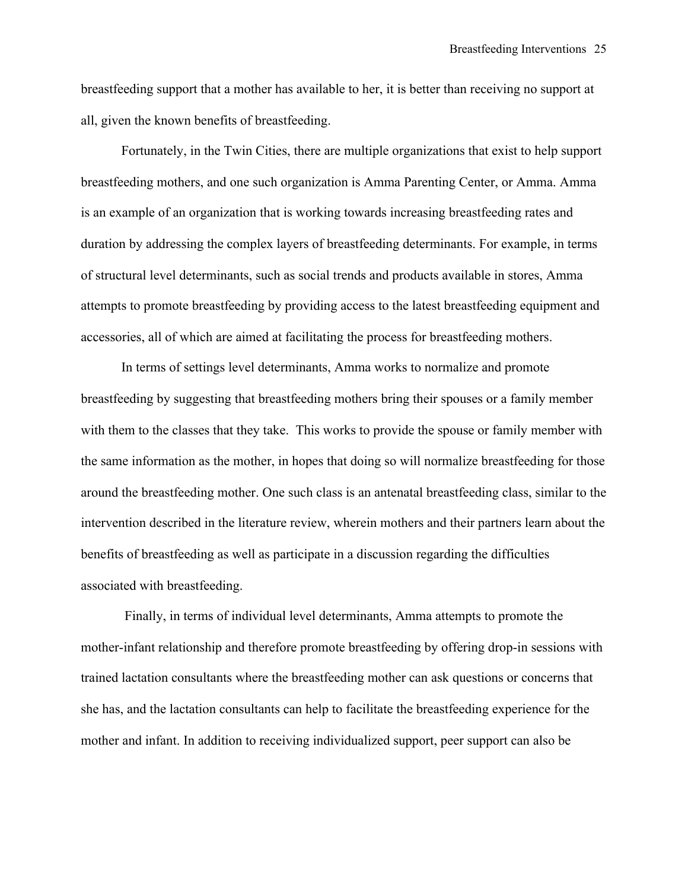breastfeeding support that a mother has available to her, it is better than receiving no support at all, given the known benefits of breastfeeding.

Fortunately, in the Twin Cities, there are multiple organizations that exist to help support breastfeeding mothers, and one such organization is Amma Parenting Center, or Amma. Amma is an example of an organization that is working towards increasing breastfeeding rates and duration by addressing the complex layers of breastfeeding determinants. For example, in terms of structural level determinants, such as social trends and products available in stores, Amma attempts to promote breastfeeding by providing access to the latest breastfeeding equipment and accessories, all of which are aimed at facilitating the process for breastfeeding mothers.

In terms of settings level determinants, Amma works to normalize and promote breastfeeding by suggesting that breastfeeding mothers bring their spouses or a family member with them to the classes that they take. This works to provide the spouse or family member with the same information as the mother, in hopes that doing so will normalize breastfeeding for those around the breastfeeding mother. One such class is an antenatal breastfeeding class, similar to the intervention described in the literature review, wherein mothers and their partners learn about the benefits of breastfeeding as well as participate in a discussion regarding the difficulties associated with breastfeeding.

Finally, in terms of individual level determinants, Amma attempts to promote the mother-infant relationship and therefore promote breastfeeding by offering drop-in sessions with trained lactation consultants where the breastfeeding mother can ask questions or concerns that she has, and the lactation consultants can help to facilitate the breastfeeding experience for the mother and infant. In addition to receiving individualized support, peer support can also be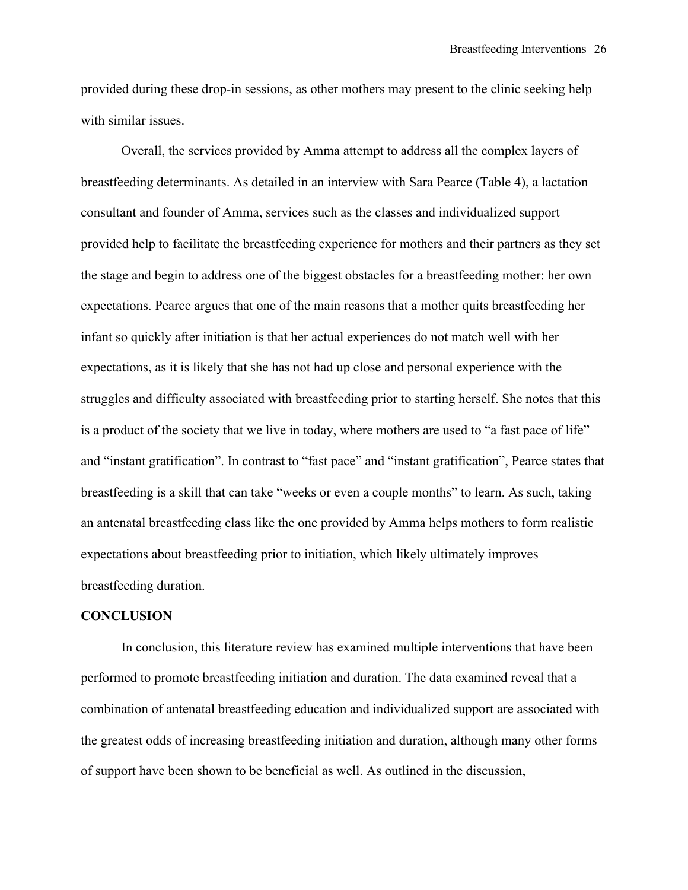provided during these drop-in sessions, as other mothers may present to the clinic seeking help with similar issues.

Overall, the services provided by Amma attempt to address all the complex layers of breastfeeding determinants. As detailed in an interview with Sara Pearce (Table 4), a lactation consultant and founder of Amma, services such as the classes and individualized support provided help to facilitate the breastfeeding experience for mothers and their partners as they set the stage and begin to address one of the biggest obstacles for a breastfeeding mother: her own expectations. Pearce argues that one of the main reasons that a mother quits breastfeeding her infant so quickly after initiation is that her actual experiences do not match well with her expectations, as it is likely that she has not had up close and personal experience with the struggles and difficulty associated with breastfeeding prior to starting herself. She notes that this is a product of the society that we live in today, where mothers are used to "a fast pace of life" and "instant gratification". In contrast to "fast pace" and "instant gratification", Pearce states that breastfeeding is a skill that can take "weeks or even a couple months" to learn. As such, taking an antenatal breastfeeding class like the one provided by Amma helps mothers to form realistic expectations about breastfeeding prior to initiation, which likely ultimately improves breastfeeding duration.

#### **CONCLUSION**

In conclusion, this literature review has examined multiple interventions that have been performed to promote breastfeeding initiation and duration. The data examined reveal that a combination of antenatal breastfeeding education and individualized support are associated with the greatest odds of increasing breastfeeding initiation and duration, although many other forms of support have been shown to be beneficial as well. As outlined in the discussion,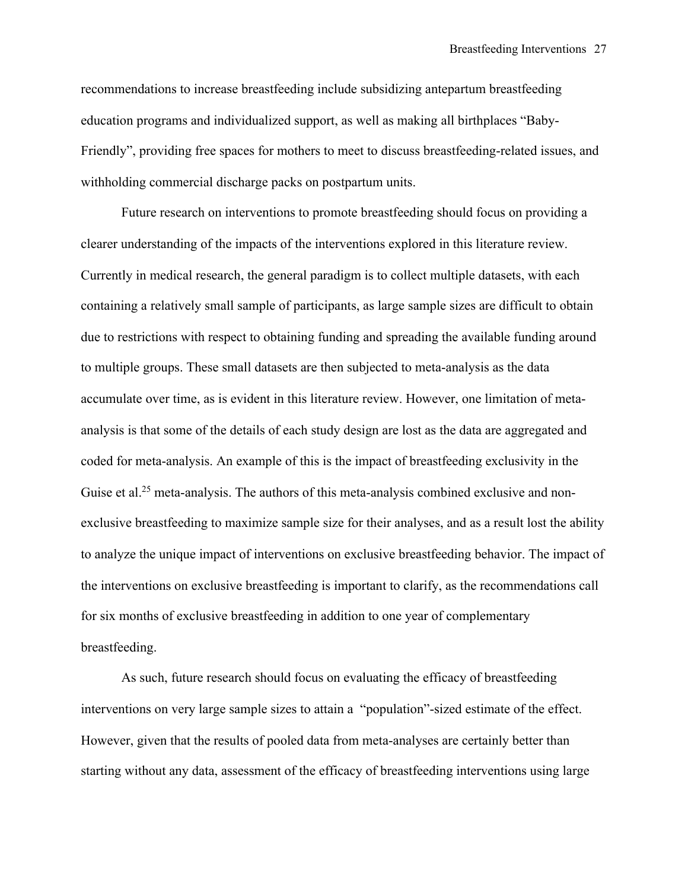recommendations to increase breastfeeding include subsidizing antepartum breastfeeding education programs and individualized support, as well as making all birthplaces "Baby-Friendly", providing free spaces for mothers to meet to discuss breastfeeding-related issues, and withholding commercial discharge packs on postpartum units.

Future research on interventions to promote breastfeeding should focus on providing a clearer understanding of the impacts of the interventions explored in this literature review. Currently in medical research, the general paradigm is to collect multiple datasets, with each containing a relatively small sample of participants, as large sample sizes are difficult to obtain due to restrictions with respect to obtaining funding and spreading the available funding around to multiple groups. These small datasets are then subjected to meta-analysis as the data accumulate over time, as is evident in this literature review. However, one limitation of metaanalysis is that some of the details of each study design are lost as the data are aggregated and coded for meta-analysis. An example of this is the impact of breastfeeding exclusivity in the Guise et al.<sup>25</sup> meta-analysis. The authors of this meta-analysis combined exclusive and nonexclusive breastfeeding to maximize sample size for their analyses, and as a result lost the ability to analyze the unique impact of interventions on exclusive breastfeeding behavior. The impact of the interventions on exclusive breastfeeding is important to clarify, as the recommendations call for six months of exclusive breastfeeding in addition to one year of complementary breastfeeding.

As such, future research should focus on evaluating the efficacy of breastfeeding interventions on very large sample sizes to attain a "population"-sized estimate of the effect. However, given that the results of pooled data from meta-analyses are certainly better than starting without any data, assessment of the efficacy of breastfeeding interventions using large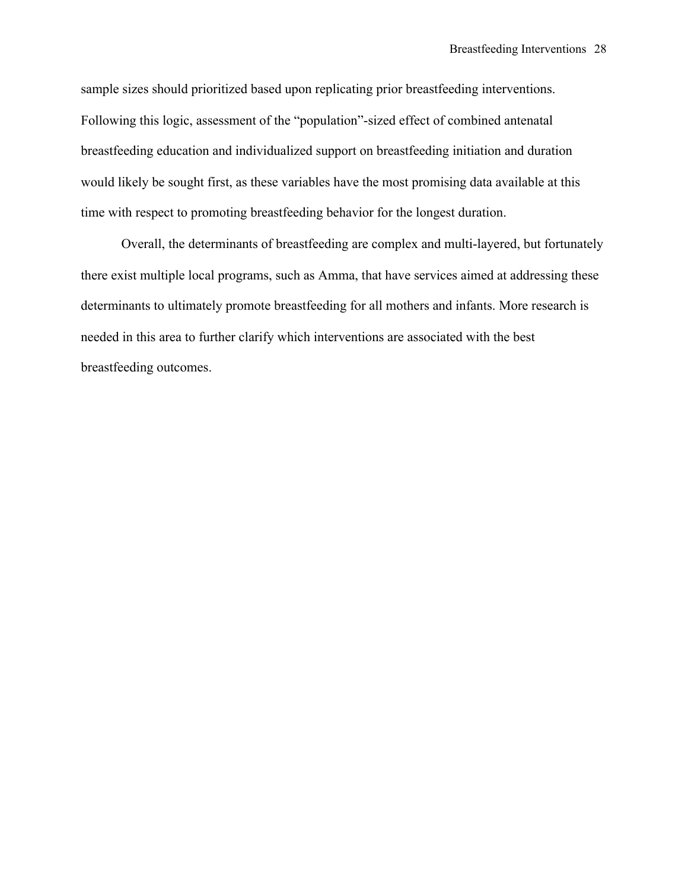sample sizes should prioritized based upon replicating prior breastfeeding interventions. Following this logic, assessment of the "population"-sized effect of combined antenatal breastfeeding education and individualized support on breastfeeding initiation and duration would likely be sought first, as these variables have the most promising data available at this time with respect to promoting breastfeeding behavior for the longest duration.

Overall, the determinants of breastfeeding are complex and multi-layered, but fortunately there exist multiple local programs, such as Amma, that have services aimed at addressing these determinants to ultimately promote breastfeeding for all mothers and infants. More research is needed in this area to further clarify which interventions are associated with the best breastfeeding outcomes.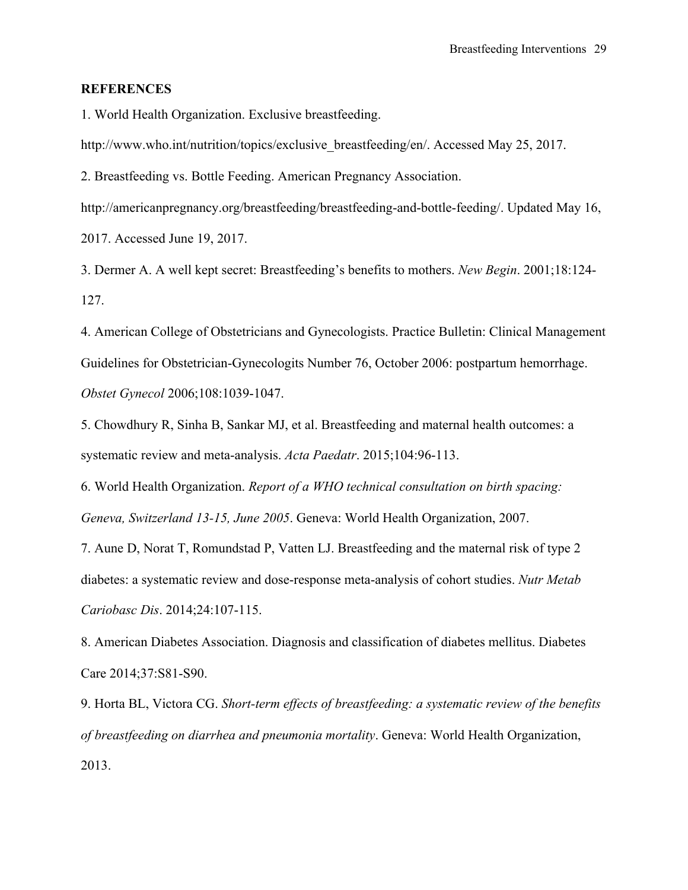#### **REFERENCES**

1. World Health Organization. Exclusive breastfeeding.

http://www.who.int/nutrition/topics/exclusive\_breastfeeding/en/. Accessed May 25, 2017.

2. Breastfeeding vs. Bottle Feeding. American Pregnancy Association.

http://americanpregnancy.org/breastfeeding/breastfeeding-and-bottle-feeding/. Updated May 16, 2017. Accessed June 19, 2017.

3. Dermer A. A well kept secret: Breastfeeding's benefits to mothers. *New Begin*. 2001;18:124- 127.

4. American College of Obstetricians and Gynecologists. Practice Bulletin: Clinical Management Guidelines for Obstetrician-Gynecologits Number 76, October 2006: postpartum hemorrhage. *Obstet Gynecol* 2006;108:1039-1047.

5. Chowdhury R, Sinha B, Sankar MJ, et al. Breastfeeding and maternal health outcomes: a systematic review and meta-analysis. *Acta Paedatr*. 2015;104:96-113.

6. World Health Organization. *Report of a WHO technical consultation on birth spacing: Geneva, Switzerland 13-15, June 2005*. Geneva: World Health Organization, 2007.

7. Aune D, Norat T, Romundstad P, Vatten LJ. Breastfeeding and the maternal risk of type 2 diabetes: a systematic review and dose-response meta-analysis of cohort studies. *Nutr Metab Cariobasc Dis*. 2014;24:107-115.

8. American Diabetes Association. Diagnosis and classification of diabetes mellitus. Diabetes Care 2014;37:S81-S90.

9. Horta BL, Victora CG. *Short-term effects of breastfeeding: a systematic review of the benefits of breastfeeding on diarrhea and pneumonia mortality*. Geneva: World Health Organization, 2013.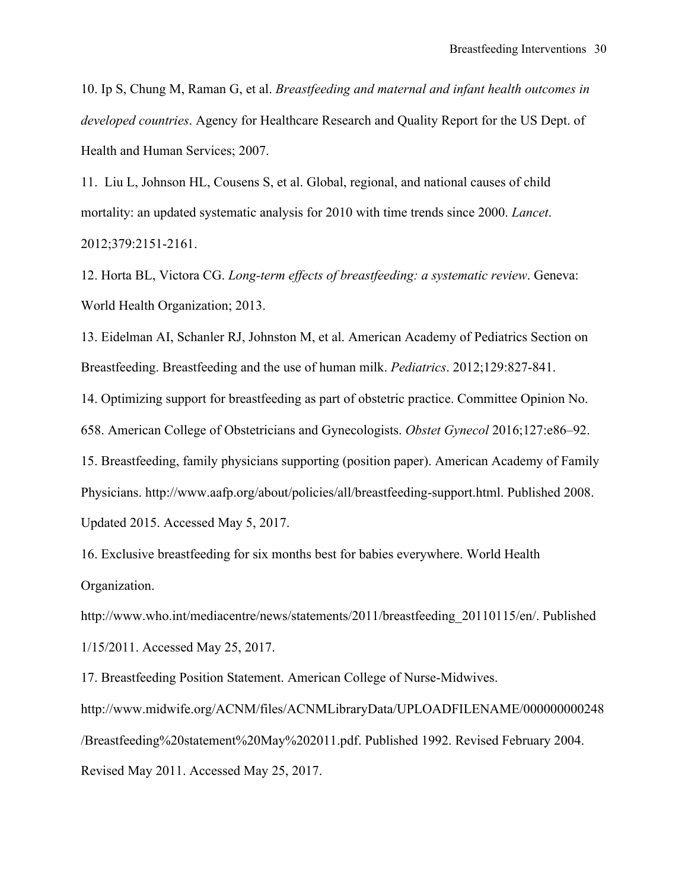10. Ip S, Chung M, Raman G, et al. *Breastfeeding and maternal and infant health outcomes in developed countries*. Agency for Healthcare Research and Quality Report for the US Dept. of Health and Human Services; 2007.

11. Liu L, Johnson HL, Cousens S, et al. Global, regional, and national causes of child mortality: an updated systematic analysis for 2010 with time trends since 2000. *Lancet*. 2012;379:2151-2161.

12. Horta BL, Victora CG. *Long-term effects of breastfeeding: a systematic review*. Geneva: World Health Organization; 2013.

13. Eidelman AI, Schanler RJ, Johnston M, et al. American Academy of Pediatrics Section on Breastfeeding. Breastfeeding and the use of human milk. *Pediatrics*. 2012;129:827-841.

14. Optimizing support for breastfeeding as part of obstetric practice. Committee Opinion No.

658. American College of Obstetricians and Gynecologists. *Obstet Gynecol* 2016;127:e86–92.

15. Breastfeeding, family physicians supporting (position paper). American Academy of Family Physicians. http://www.aafp.org/about/policies/all/breastfeeding-support.html. Published 2008. Updated 2015. Accessed May 5, 2017.

16. Exclusive breastfeeding for six months best for babies everywhere. World Health Organization.

http://www.who.int/mediacentre/news/statements/2011/breastfeeding\_20110115/en/. Published 1/15/2011. Accessed May 25, 2017.

17. Breastfeeding Position Statement. American College of Nurse-Midwives. http://www.midwife.org/ACNM/files/ACNMLibraryData/UPLOADFILENAME/000000000248 /Breastfeeding%20statement%20May%202011.pdf. Published 1992. Revised February 2004. Revised May 2011. Accessed May 25, 2017.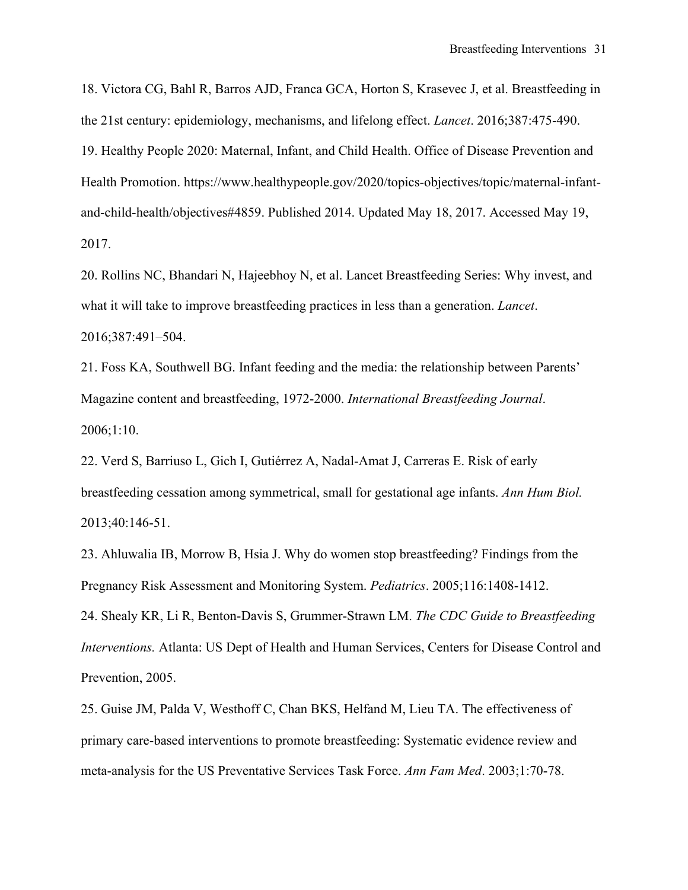18. Victora CG, Bahl R, Barros AJD, Franca GCA, Horton S, Krasevec J, et al. Breastfeeding in the 21st century: epidemiology, mechanisms, and lifelong effect. *Lancet*. 2016;387:475-490. 19. Healthy People 2020: Maternal, Infant, and Child Health. Office of Disease Prevention and Health Promotion. https://www.healthypeople.gov/2020/topics-objectives/topic/maternal-infantand-child-health/objectives#4859. Published 2014. Updated May 18, 2017. Accessed May 19, 2017.

20. Rollins NC, Bhandari N, Hajeebhoy N, et al. Lancet Breastfeeding Series: Why invest, and what it will take to improve breastfeeding practices in less than a generation. *Lancet*. 2016;387:491–504.

21. Foss KA, Southwell BG. Infant feeding and the media: the relationship between Parents' Magazine content and breastfeeding, 1972-2000. *International Breastfeeding Journal*. 2006;1:10.

22. Verd S, Barriuso L, Gich I, Gutiérrez A, Nadal-Amat J, Carreras E. Risk of early breastfeeding cessation among symmetrical, small for gestational age infants. *Ann Hum Biol.* 2013;40:146-51.

23. Ahluwalia IB, Morrow B, Hsia J. Why do women stop breastfeeding? Findings from the Pregnancy Risk Assessment and Monitoring System. *Pediatrics*. 2005;116:1408-1412. 24. Shealy KR, Li R, Benton-Davis S, Grummer-Strawn LM. *The CDC Guide to Breastfeeding Interventions.* Atlanta: US Dept of Health and Human Services, Centers for Disease Control and Prevention, 2005.

25. Guise JM, Palda V, Westhoff C, Chan BKS, Helfand M, Lieu TA. The effectiveness of primary care-based interventions to promote breastfeeding: Systematic evidence review and meta-analysis for the US Preventative Services Task Force. *Ann Fam Med*. 2003;1:70-78.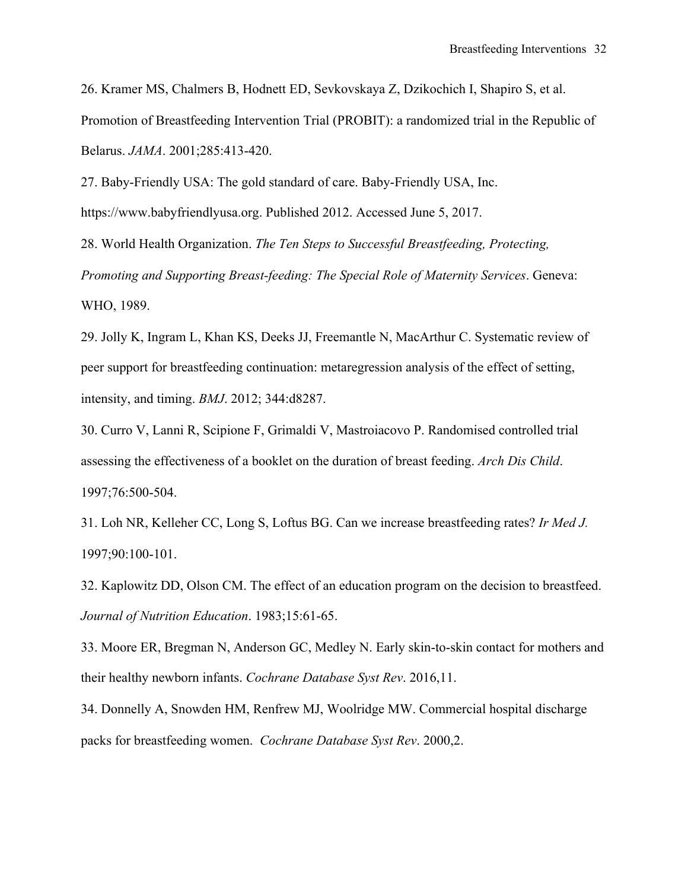26. Kramer MS, Chalmers B, Hodnett ED, Sevkovskaya Z, Dzikochich I, Shapiro S, et al. Promotion of Breastfeeding Intervention Trial (PROBIT): a randomized trial in the Republic of Belarus. *JAMA*. 2001;285:413-420.

27. Baby-Friendly USA: The gold standard of care. Baby-Friendly USA, Inc. https://www.babyfriendlyusa.org. Published 2012. Accessed June 5, 2017.

28. World Health Organization. *The Ten Steps to Successful Breastfeeding, Protecting, Promoting and Supporting Breast-feeding: The Special Role of Maternity Services*. Geneva: WHO, 1989.

29. Jolly K, Ingram L, Khan KS, Deeks JJ, Freemantle N, MacArthur C. Systematic review of peer support for breastfeeding continuation: metaregression analysis of the effect of setting, intensity, and timing. *BMJ*. 2012; 344:d8287.

30. Curro V, Lanni R, Scipione F, Grimaldi V, Mastroiacovo P. Randomised controlled trial assessing the effectiveness of a booklet on the duration of breast feeding. *Arch Dis Child*. 1997;76:500-504.

31. Loh NR, Kelleher CC, Long S, Loftus BG. Can we increase breastfeeding rates? *Ir Med J.* 1997;90:100-101.

32. Kaplowitz DD, Olson CM. The effect of an education program on the decision to breastfeed. *Journal of Nutrition Education*. 1983;15:61-65.

33. Moore ER, Bregman N, Anderson GC, Medley N. Early skin-to-skin contact for mothers and their healthy newborn infants. *Cochrane Database Syst Rev*. 2016,11.

34. Donnelly A, Snowden HM, Renfrew MJ, Woolridge MW. Commercial hospital discharge packs for breastfeeding women. *Cochrane Database Syst Rev*. 2000,2.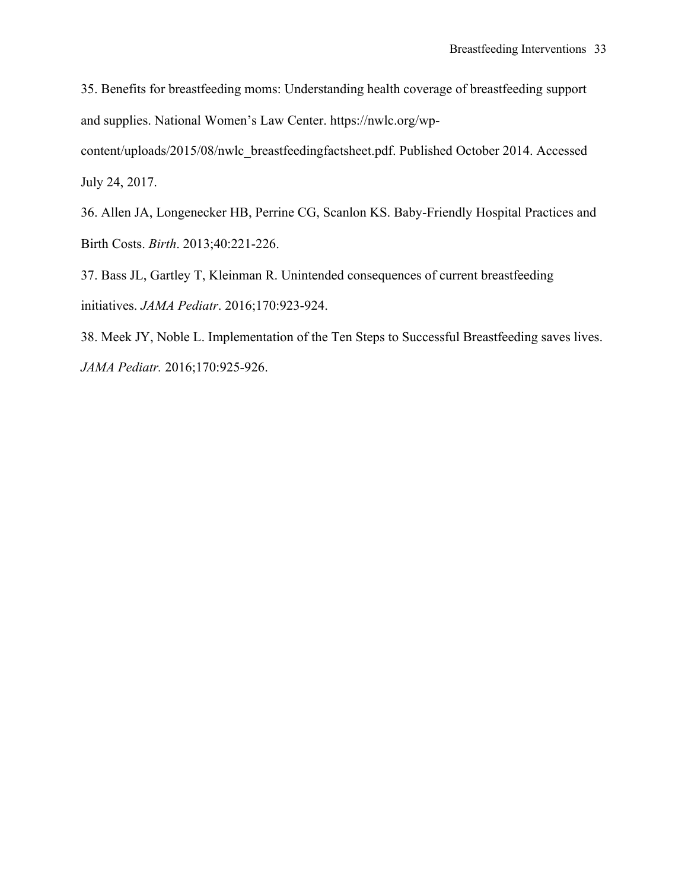35. Benefits for breastfeeding moms: Understanding health coverage of breastfeeding support and supplies. National Women's Law Center. https://nwlc.org/wp-

content/uploads/2015/08/nwlc\_breastfeedingfactsheet.pdf. Published October 2014. Accessed July 24, 2017.

36. Allen JA, Longenecker HB, Perrine CG, Scanlon KS. Baby-Friendly Hospital Practices and Birth Costs. *Birth*. 2013;40:221-226.

37. Bass JL, Gartley T, Kleinman R. Unintended consequences of current breastfeeding initiatives. *JAMA Pediatr*. 2016;170:923-924.

38. Meek JY, Noble L. Implementation of the Ten Steps to Successful Breastfeeding saves lives. *JAMA Pediatr.* 2016;170:925-926.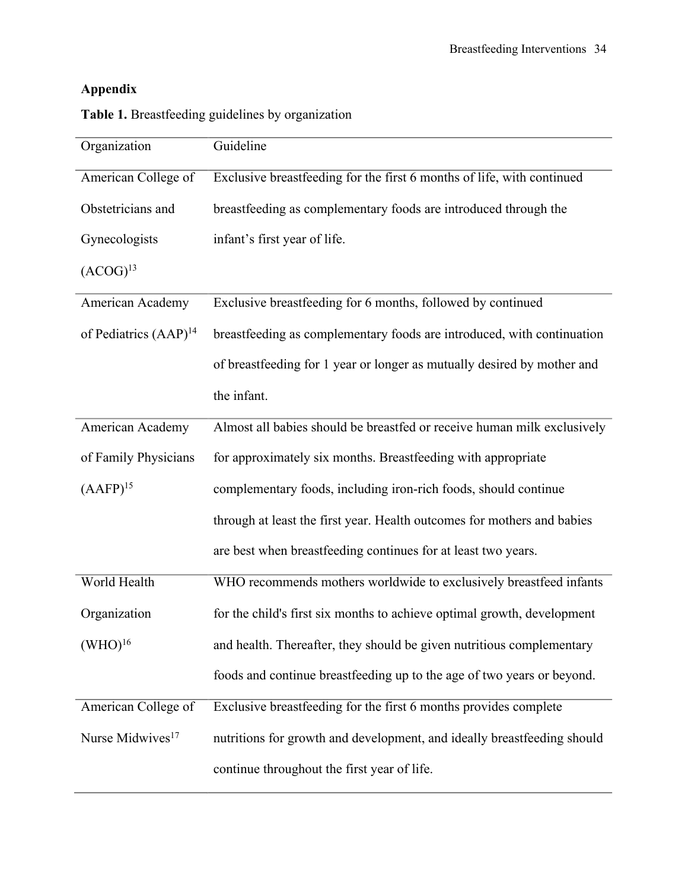| Organization                 | Guideline                                                               |
|------------------------------|-------------------------------------------------------------------------|
| American College of          | Exclusive breastfeeding for the first 6 months of life, with continued  |
| Obstetricians and            | breastfeeding as complementary foods are introduced through the         |
| Gynecologists                | infant's first year of life.                                            |
| $(ACOG)^{13}$                |                                                                         |
| American Academy             | Exclusive breastfeeding for 6 months, followed by continued             |
| of Pediatrics $(AAP)^{14}$   | breastfeeding as complementary foods are introduced, with continuation  |
|                              | of breastfeeding for 1 year or longer as mutually desired by mother and |
|                              | the infant.                                                             |
| American Academy             | Almost all babies should be breastfed or receive human milk exclusively |
| of Family Physicians         | for approximately six months. Breastfeeding with appropriate            |
| (AAFP) <sup>15</sup>         | complementary foods, including iron-rich foods, should continue         |
|                              | through at least the first year. Health outcomes for mothers and babies |
|                              | are best when breastfeeding continues for at least two years.           |
| World Health                 | WHO recommends mothers worldwide to exclusively breastfeed infants      |
| Organization                 | for the child's first six months to achieve optimal growth, development |
| (WHO) <sup>16</sup>          | and health. Thereafter, they should be given nutritious complementary   |
|                              | foods and continue breastfeeding up to the age of two years or beyond.  |
| American College of          | Exclusive breastfeeding for the first 6 months provides complete        |
| Nurse Midwives <sup>17</sup> | nutritions for growth and development, and ideally breastfeeding should |
|                              | continue throughout the first year of life.                             |

**Table 1.** Breastfeeding guidelines by organization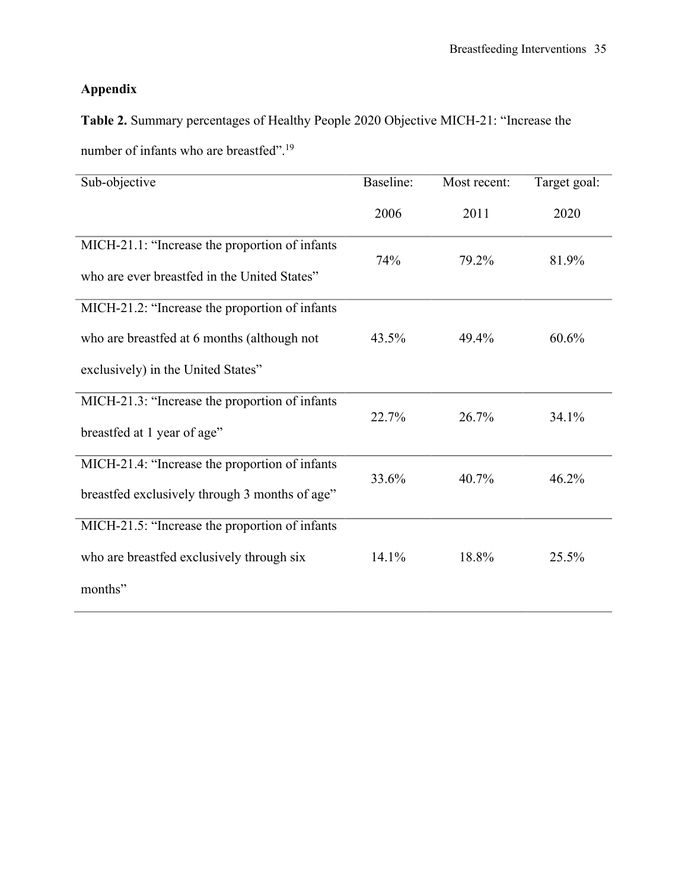**Table 2.** Summary percentages of Healthy People 2020 Objective MICH-21: "Increase the number of infants who are breastfed".<sup>19</sup>

| Sub-objective                                                                                  | Baseline: | Most recent: | Target goal: |
|------------------------------------------------------------------------------------------------|-----------|--------------|--------------|
|                                                                                                | 2006      | 2011         | 2020         |
| MICH-21.1: "Increase the proportion of infants<br>who are ever breastfed in the United States" | 74%       | 79.2%        | 81.9%        |
| MICH-21.2: "Increase the proportion of infants                                                 |           |              |              |
| who are breastfed at 6 months (although not                                                    | 43.5%     | 49.4%        | 60.6%        |
| exclusively) in the United States"                                                             |           |              |              |
| MICH-21.3: "Increase the proportion of infants                                                 | 22.7%     | 26.7%        | 34.1%        |
| breastfed at 1 year of age"                                                                    |           |              |              |
| MICH-21.4: "Increase the proportion of infants                                                 | 33.6%     | 40.7%        | 46.2%        |
| breastfed exclusively through 3 months of age"                                                 |           |              |              |
| MICH-21.5: "Increase the proportion of infants                                                 |           |              |              |
| who are breastfed exclusively through six                                                      | 14.1%     | 18.8%        | 25.5%        |
| months"                                                                                        |           |              |              |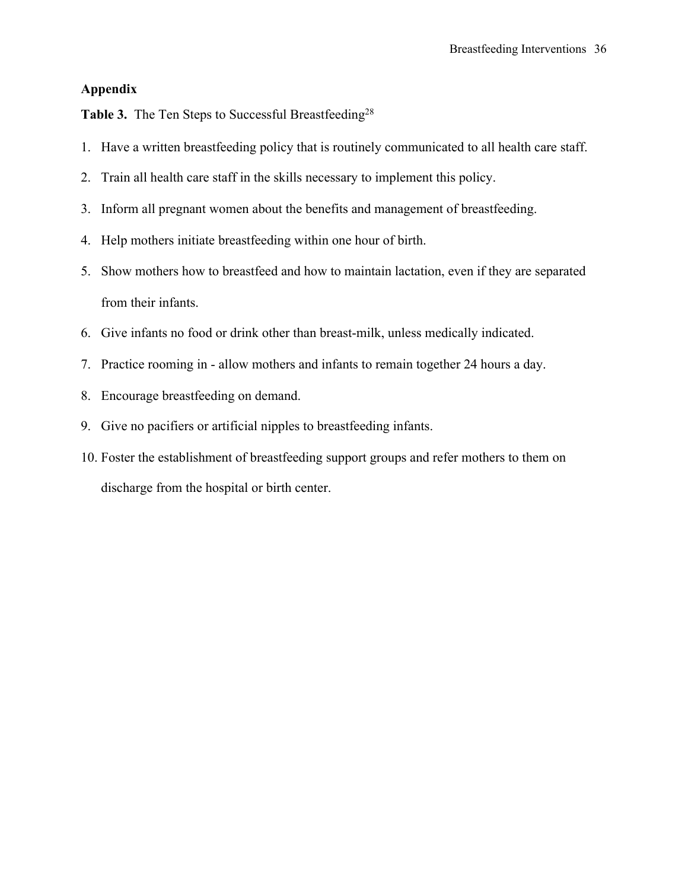Table 3. The Ten Steps to Successful Breastfeeding<sup>28</sup>

- 1. Have a written breastfeeding policy that is routinely communicated to all health care staff.
- 2. Train all health care staff in the skills necessary to implement this policy.
- 3. Inform all pregnant women about the benefits and management of breastfeeding.
- 4. Help mothers initiate breastfeeding within one hour of birth.
- 5. Show mothers how to breastfeed and how to maintain lactation, even if they are separated from their infants.
- 6. Give infants no food or drink other than breast-milk, unless medically indicated.
- 7. Practice rooming in allow mothers and infants to remain together 24 hours a day.
- 8. Encourage breastfeeding on demand.
- 9. Give no pacifiers or artificial nipples to breastfeeding infants.
- 10. Foster the establishment of breastfeeding support groups and refer mothers to them on discharge from the hospital or birth center.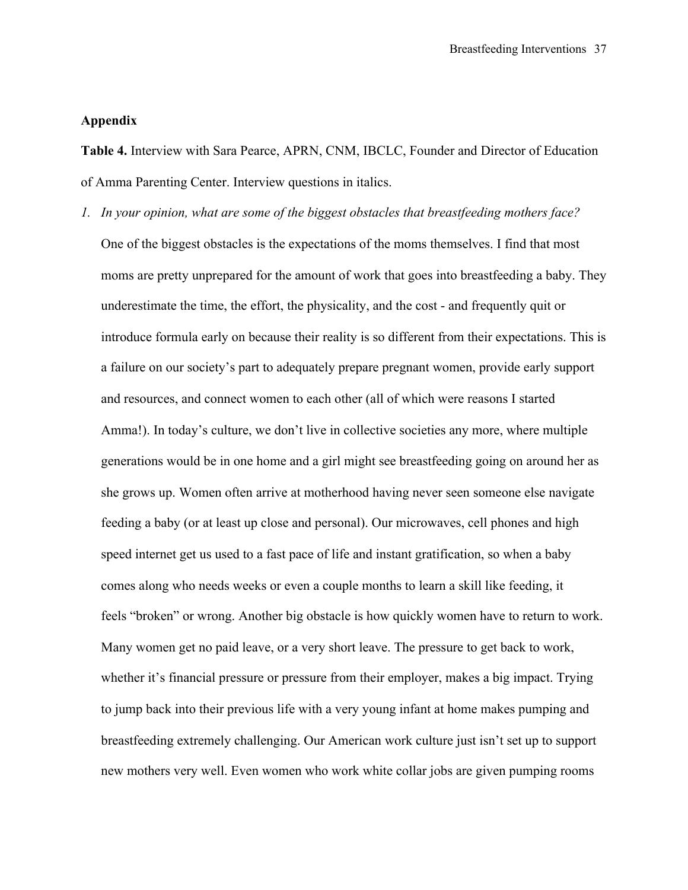**Table 4.** Interview with Sara Pearce, APRN, CNM, IBCLC, Founder and Director of Education of Amma Parenting Center. Interview questions in italics.

*1. In your opinion, what are some of the biggest obstacles that breastfeeding mothers face?* One of the biggest obstacles is the expectations of the moms themselves. I find that most moms are pretty unprepared for the amount of work that goes into breastfeeding a baby. They underestimate the time, the effort, the physicality, and the cost - and frequently quit or introduce formula early on because their reality is so different from their expectations. This is a failure on our society's part to adequately prepare pregnant women, provide early support and resources, and connect women to each other (all of which were reasons I started Amma!). In today's culture, we don't live in collective societies any more, where multiple generations would be in one home and a girl might see breastfeeding going on around her as she grows up. Women often arrive at motherhood having never seen someone else navigate feeding a baby (or at least up close and personal). Our microwaves, cell phones and high speed internet get us used to a fast pace of life and instant gratification, so when a baby comes along who needs weeks or even a couple months to learn a skill like feeding, it feels "broken" or wrong. Another big obstacle is how quickly women have to return to work. Many women get no paid leave, or a very short leave. The pressure to get back to work, whether it's financial pressure or pressure from their employer, makes a big impact. Trying to jump back into their previous life with a very young infant at home makes pumping and breastfeeding extremely challenging. Our American work culture just isn't set up to support new mothers very well. Even women who work white collar jobs are given pumping rooms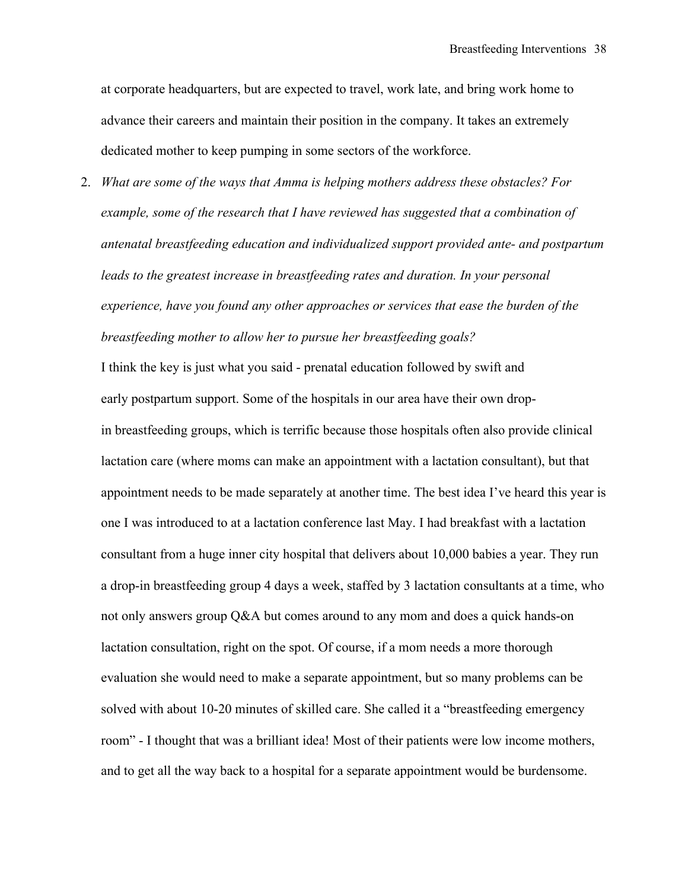at corporate headquarters, but are expected to travel, work late, and bring work home to advance their careers and maintain their position in the company. It takes an extremely dedicated mother to keep pumping in some sectors of the workforce.

2. *What are some of the ways that Amma is helping mothers address these obstacles? For example, some of the research that I have reviewed has suggested that a combination of antenatal breastfeeding education and individualized support provided ante- and postpartum leads to the greatest increase in breastfeeding rates and duration. In your personal experience, have you found any other approaches or services that ease the burden of the breastfeeding mother to allow her to pursue her breastfeeding goals?*

I think the key is just what you said - prenatal education followed by swift and early postpartum support. Some of the hospitals in our area have their own dropin breastfeeding groups, which is terrific because those hospitals often also provide clinical lactation care (where moms can make an appointment with a lactation consultant), but that appointment needs to be made separately at another time. The best idea I've heard this year is one I was introduced to at a lactation conference last May. I had breakfast with a lactation consultant from a huge inner city hospital that delivers about 10,000 babies a year. They run a drop-in breastfeeding group 4 days a week, staffed by 3 lactation consultants at a time, who not only answers group Q&A but comes around to any mom and does a quick hands-on lactation consultation, right on the spot. Of course, if a mom needs a more thorough evaluation she would need to make a separate appointment, but so many problems can be solved with about 10-20 minutes of skilled care. She called it a "breastfeeding emergency room" - I thought that was a brilliant idea! Most of their patients were low income mothers, and to get all the way back to a hospital for a separate appointment would be burdensome.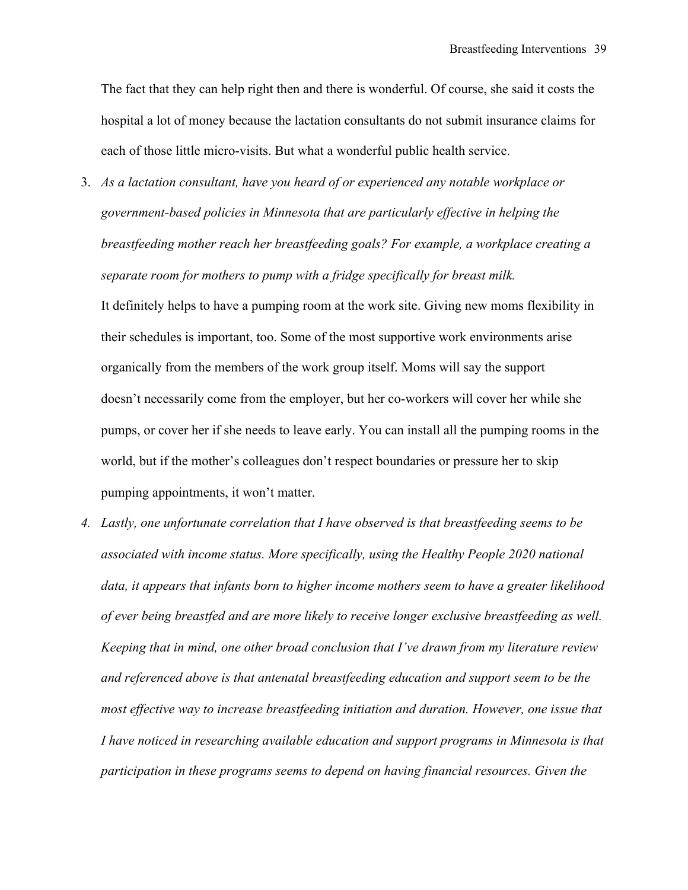The fact that they can help right then and there is wonderful. Of course, she said it costs the hospital a lot of money because the lactation consultants do not submit insurance claims for each of those little micro-visits. But what a wonderful public health service.

- 3. *As a lactation consultant, have you heard of or experienced any notable workplace or government-based policies in Minnesota that are particularly effective in helping the breastfeeding mother reach her breastfeeding goals? For example, a workplace creating a separate room for mothers to pump with a fridge specifically for breast milk.* It definitely helps to have a pumping room at the work site. Giving new moms flexibility in their schedules is important, too. Some of the most supportive work environments arise organically from the members of the work group itself. Moms will say the support doesn't necessarily come from the employer, but her co-workers will cover her while she pumps, or cover her if she needs to leave early. You can install all the pumping rooms in the world, but if the mother's colleagues don't respect boundaries or pressure her to skip pumping appointments, it won't matter.
- *4. Lastly, one unfortunate correlation that I have observed is that breastfeeding seems to be associated with income status. More specifically, using the Healthy People 2020 national data, it appears that infants born to higher income mothers seem to have a greater likelihood of ever being breastfed and are more likely to receive longer exclusive breastfeeding as well. Keeping that in mind, one other broad conclusion that I've drawn from my literature review and referenced above is that antenatal breastfeeding education and support seem to be the*  most effective way to increase breastfeeding initiation and duration. However, one issue that *I have noticed in researching available education and support programs in Minnesota is that participation in these programs seems to depend on having financial resources. Given the*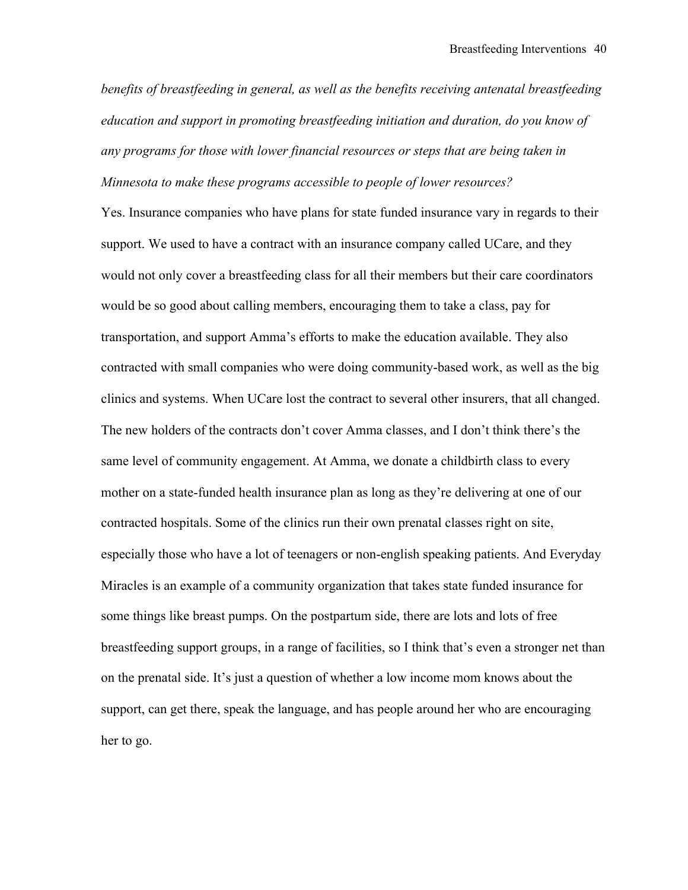*benefits of breastfeeding in general, as well as the benefits receiving antenatal breastfeeding education and support in promoting breastfeeding initiation and duration, do you know of any programs for those with lower financial resources or steps that are being taken in Minnesota to make these programs accessible to people of lower resources?*

Yes. Insurance companies who have plans for state funded insurance vary in regards to their support. We used to have a contract with an insurance company called UCare, and they would not only cover a breastfeeding class for all their members but their care coordinators would be so good about calling members, encouraging them to take a class, pay for transportation, and support Amma's efforts to make the education available. They also contracted with small companies who were doing community-based work, as well as the big clinics and systems. When UCare lost the contract to several other insurers, that all changed. The new holders of the contracts don't cover Amma classes, and I don't think there's the same level of community engagement. At Amma, we donate a childbirth class to every mother on a state-funded health insurance plan as long as they're delivering at one of our contracted hospitals. Some of the clinics run their own prenatal classes right on site, especially those who have a lot of teenagers or non-english speaking patients. And Everyday Miracles is an example of a community organization that takes state funded insurance for some things like breast pumps. On the postpartum side, there are lots and lots of free breastfeeding support groups, in a range of facilities, so I think that's even a stronger net than on the prenatal side. It's just a question of whether a low income mom knows about the support, can get there, speak the language, and has people around her who are encouraging her to go.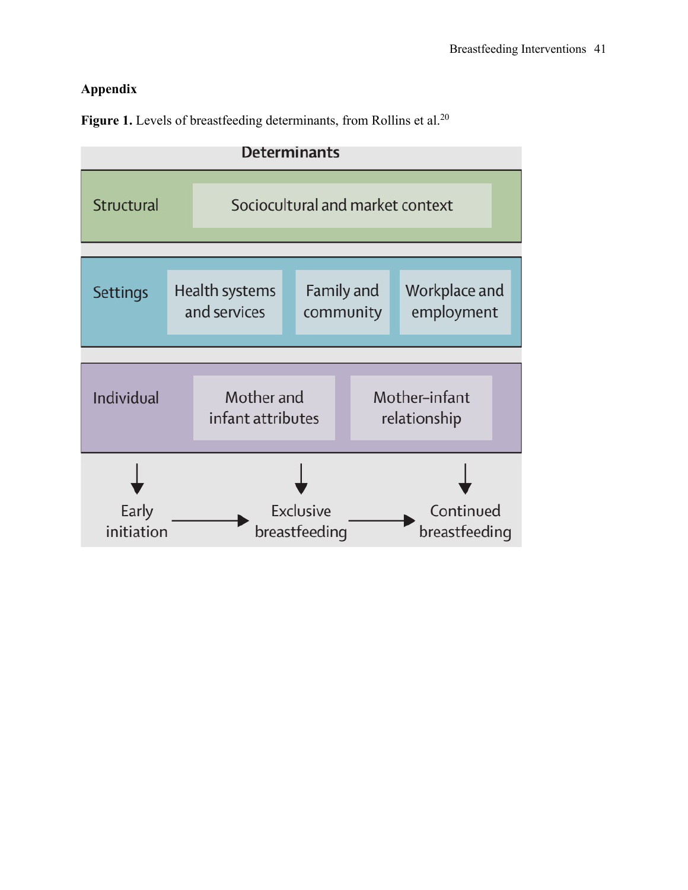Figure 1. Levels of breastfeeding determinants, from Rollins et al.<sup>20</sup>